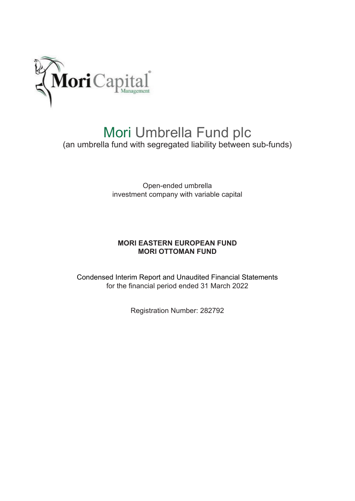

# Mori Umbrella Fund plc (an umbrella fund with segregated liability between sub-funds)

Open-ended umbrella investment company with variable capital

### **MORI EASTERN EUROPEAN FUND MORI OTTOMAN FUND**

Condensed Interim Report and Unaudited Financial Statements for the financial period ended 31 March 2022

Registration Number: 282792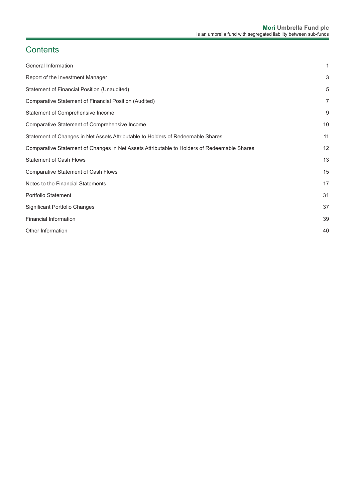# **Contents**

| General Information                                                                         | 1              |
|---------------------------------------------------------------------------------------------|----------------|
| Report of the Investment Manager                                                            | 3              |
| Statement of Financial Position (Unaudited)                                                 | 5              |
| Comparative Statement of Financial Position (Audited)                                       | $\overline{7}$ |
| Statement of Comprehensive Income                                                           | 9              |
| Comparative Statement of Comprehensive Income                                               | 10             |
| Statement of Changes in Net Assets Attributable to Holders of Redeemable Shares             | 11             |
| Comparative Statement of Changes in Net Assets Attributable to Holders of Redeemable Shares | 12             |
| <b>Statement of Cash Flows</b>                                                              | 13             |
| <b>Comparative Statement of Cash Flows</b>                                                  | 15             |
| Notes to the Financial Statements                                                           | 17             |
| <b>Portfolio Statement</b>                                                                  | 31             |
| Significant Portfolio Changes                                                               | 37             |
| <b>Financial Information</b>                                                                | 39             |
| Other Information                                                                           | 40             |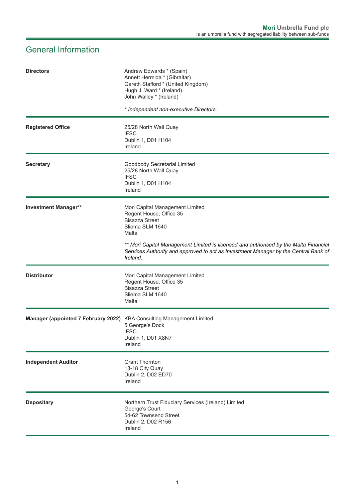# <span id="page-2-0"></span>General Information

| <b>Directors</b>                                                      | Andrew Edwards * (Spain)<br>Annett Hermida * (Gibraltar)<br>Gareth Stafford * (United Kingdom)<br>Hugh J. Ward * (Ireland)<br>John Walley * (Ireland)                                   |
|-----------------------------------------------------------------------|-----------------------------------------------------------------------------------------------------------------------------------------------------------------------------------------|
|                                                                       | * Independent non-executive Directors.                                                                                                                                                  |
| <b>Registered Office</b>                                              | 25/28 North Wall Quay<br><b>IFSC</b><br>Dublin 1, D01 H104<br>Ireland                                                                                                                   |
| <b>Secretary</b>                                                      | Goodbody Secretarial Limited<br>25/28 North Wall Quay<br><b>IFSC</b><br>Dublin 1, D01 H104<br>Ireland                                                                                   |
| <b>Investment Manager**</b>                                           | Mori Capital Management Limited<br>Regent House, Office 35<br><b>Bisazza Street</b><br>Sliema SLM 1640<br>Malta                                                                         |
|                                                                       | ** Mori Capital Management Limited is licensed and authorised by the Malta Financial<br>Services Authority and approved to act as Investment Manager by the Central Bank of<br>Ireland. |
| <b>Distributor</b>                                                    | Mori Capital Management Limited<br>Regent House, Office 35<br><b>Bisazza Street</b><br>Sliema SLM 1640<br>Malta                                                                         |
| Manager (appointed 7 February 2022) KBA Consulting Management Limited | 5 George's Dock<br><b>IFSC</b><br>Dublin 1, D01 X8N7<br>Ireland                                                                                                                         |
| <b>Independent Auditor</b>                                            | <b>Grant Thornton</b><br>13-18 City Quay<br>Dublin 2, D02 ED70<br>Ireland                                                                                                               |
| <b>Depositary</b>                                                     | Northern Trust Fiduciary Services (Ireland) Limited<br>George's Court<br>54-62 Townsend Street<br>Dublin 2, D02 R156<br>Ireland                                                         |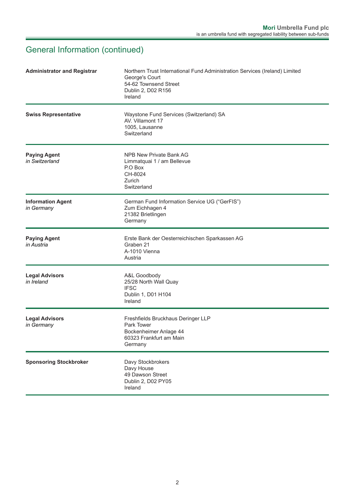# General Information (continued)

| <b>Administrator and Registrar</b>     | Northern Trust International Fund Administration Services (Ireland) Limited<br>George's Court<br>54-62 Townsend Street<br>Dublin 2, D02 R156<br>Ireland |
|----------------------------------------|---------------------------------------------------------------------------------------------------------------------------------------------------------|
| <b>Swiss Representative</b>            | Waystone Fund Services (Switzerland) SA<br>AV. Villamont 17<br>1005, Lausanne<br>Switzerland                                                            |
| <b>Paying Agent</b><br>in Switzerland  | NPB New Private Bank AG<br>Limmatquai 1 / am Bellevue<br>P.O Box<br>CH-8024<br>Zurich<br>Switzerland                                                    |
| <b>Information Agent</b><br>in Germany | German Fund Information Service UG ("GerFIS")<br>Zum Eichhagen 4<br>21382 Brietlingen<br>Germany                                                        |
| <b>Paying Agent</b><br>in Austria      | Erste Bank der Oesterreichischen Sparkassen AG<br>Graben 21<br>A-1010 Vienna<br>Austria                                                                 |
| <b>Legal Advisors</b><br>in Ireland    | A&L Goodbody<br>25/28 North Wall Quay<br><b>IFSC</b><br>Dublin 1, D01 H104<br>Ireland                                                                   |
| <b>Legal Advisors</b><br>in Germany    | Freshfields Bruckhaus Deringer LLP<br>Park Tower<br>Bockenheimer Anlage 44<br>60323 Frankfurt am Main<br>Germany                                        |
| <b>Sponsoring Stockbroker</b>          | Davy Stockbrokers<br>Davy House<br>49 Dawson Street<br>Dublin 2, D02 PY05<br>Ireland                                                                    |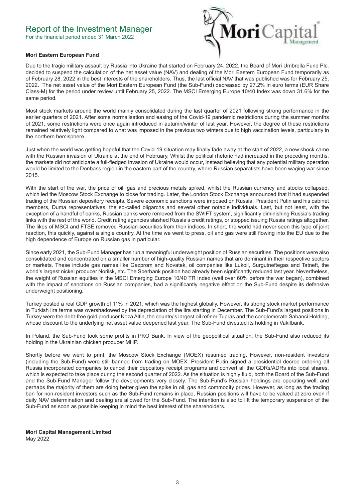### <span id="page-4-0"></span>Report of the Investment Manager

For the financial period ended 31 March 2022



#### **Mori Eastern European Fund**

Due to the tragic military assault by Russia into Ukraine that started on February 24, 2022, the Board of Mori Umbrella Fund Plc. decided to suspend the calculation of the net asset value (NAV) and dealing of the Mori Eastern European Fund temporarily as of February 28, 2022 in the best interests of the shareholders. Thus, the last official NAV that was published was for February 25, 2022. The net asset value of the Mori Eastern European Fund (the Sub-Fund) decreased by 27.2% in euro terms (EUR Share Class-M) for the period under review until February 25, 2022. The MSCI Emerging Europe 10/40 Index was down 31.6% for the same period.

Most stock markets around the world mainly consolidated during the last quarter of 2021 following strong performance in the earlier quarters of 2021. After some normalisation and easing of the Covid-19 pandemic restrictions during the summer months of 2021, some restrictions were once again introduced in autumn/winter of last year. However, the degree of these restrictions remained relatively light compared to what was imposed in the previous two winters due to high vaccination levels, particularly in the northern hemisphere.

Just when the world was getting hopeful that the Covid-19 situation may finally fade away at the start of 2022, a new shock came with the Russian invasion of Ukraine at the end of February. Whilst the political rhetoric had increased in the preceding months, the markets did not anticipate a full-fledged invasion of Ukraine would occur, instead believing that any potential military operation would be limited to the Donbass region in the eastern part of the country, where Russian separatists have been waging war since 2015.

With the start of the war, the price of oil, gas and precious metals spiked, whilst the Russian currency and stocks collapsed, which led the Moscow Stock Exchange to close for trading. Later, the London Stock Exchange announced that it had suspended trading of the Russian depository receipts. Severe economic sanctions were imposed on Russia, President Putin and his cabinet members, Duma representatives, the so-called oligarchs and several other notable individuals. Last, but not least, with the exception of a handful of banks, Russian banks were removed from the SWIFT system, significantly diminishing Russia's trading links with the rest of the world. Credit rating agencies slashed Russia's credit ratings, or stopped issuing Russia ratings altogether. The likes of MSCI and FTSE removed Russian securities from their indices. In short, the world had never seen this type of joint reaction, this quickly, against a single country. At the time we went to press, oil and gas were still flowing into the EU due to the high dependence of Europe on Russian gas in particular.

Since early 2021, the Sub-Fund Manager has run a meaningful underweight position of Russian securities. The positions were also consolidated and concentrated on a smaller number of high-quality Russian names that are dominant in their respective sectors or markets. These include gas names like Gazprom and Novatek, oil companies like Lukoil, Surgutneftegas and Tatneft, the world's largest nickel producer Norilsk, etc. The Sberbank position had already been significantly reduced last year. Nevertheless, the weight of Russian equities in the MSCI Emerging Europe 10/40 TR Index (well over 60% before the war began), combined with the impact of sanctions on Russian companies, had a significantly negative effect on the Sub-Fund despite its defensive underweight positioning.

Turkey posted a real GDP growth of 11% in 2021, which was the highest globally. However, its strong stock market performance in Turkish lira terms was overshadowed by the depreciation of the lira starting in December. The Sub-Fund's largest positions in Turkey were the debt-free gold producer Koza Altin, the country's largest oil refiner Tupras and the conglomerate Sabanci Holding, whose discount to the underlying net asset value deepened last year. The Sub-Fund divested its holding in Vakifbank.

In Poland, the Sub-Fund took some profits in PKO Bank. In view of the geopolitical situation, the Sub-Fund also reduced its holding in the Ukrainian chicken producer MHP.

Shortly before we went to print, the Moscow Stock Exchange (MOEX) resumed trading. However, non-resident investors (including the Sub-Fund) were still banned from trading on MOEX. President Putin signed a presidential decree ordering all Russia incorporated companies to cancel their depository receipt programs and convert all the GDRs/ADRs into local shares, which is expected to take place during the second quarter of 2022. As the situation is highly fluid, both the Board of the Sub-Fund and the Sub-Fund Manager follow the developments very closely. The Sub-Fund's Russian holdings are operating well, and perhaps the majority of them are doing better given the spike in oil, gas and commodity prices. However, as long as the trading ban for non-resident investors such as the Sub-Fund remains in place, Russian positions will have to be valued at zero even if daily NAV determination and dealing are allowed for the Sub-Fund. The intention is also to lift the temporary suspension of the Sub-Fund as soon as possible keeping in mind the best interest of the shareholders.

**Mori Capital Management Limited** May 2022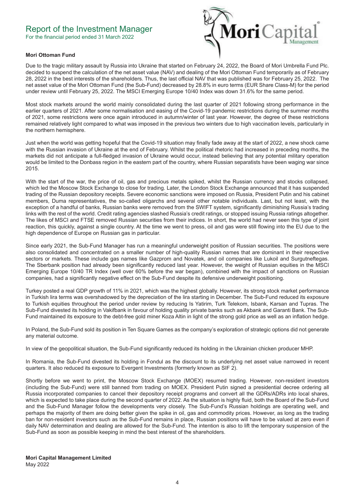## Report of the Investment Manager

For the financial period ended 31 March 2022



#### **Mori Ottoman Fund**

Due to the tragic military assault by Russia into Ukraine that started on February 24, 2022, the Board of Mori Umbrella Fund Plc. decided to suspend the calculation of the net asset value (NAV) and dealing of the Mori Ottoman Fund temporarily as of February 28, 2022 in the best interests of the shareholders. Thus, the last official NAV that was published was for February 25, 2022. The net asset value of the Mori Ottoman Fund (the Sub-Fund) decreased by 28.8% in euro terms (EUR Share Class-M) for the period under review until February 25, 2022. The MSCI Emerging Europe 10/40 Index was down 31.6% for the same period.

Most stock markets around the world mainly consolidated during the last quarter of 2021 following strong performance in the earlier quarters of 2021. After some normalisation and easing of the Covid-19 pandemic restrictions during the summer months of 2021, some restrictions were once again introduced in autumn/winter of last year. However, the degree of these restrictions remained relatively light compared to what was imposed in the previous two winters due to high vaccination levels, particularly in the northern hemisphere.

Just when the world was getting hopeful that the Covid-19 situation may finally fade away at the start of 2022, a new shock came with the Russian invasion of Ukraine at the end of February. Whilst the political rhetoric had increased in preceding months, the markets did not anticipate a full-fledged invasion of Ukraine would occur, instead believing that any potential military operation would be limited to the Donbass region in the eastern part of the country, where Russian separatists have been waging war since 2015.

With the start of the war, the price of oil, gas and precious metals spiked, whilst the Russian currency and stocks collapsed, which led the Moscow Stock Exchange to close for trading. Later, the London Stock Exchange announced that it has suspended trading of the Russian depository receipts. Severe economic sanctions were imposed on Russia, President Putin and his cabinet members, Duma representatives, the so-called oligarchs and several other notable individuals. Last, but not least, with the exception of a handful of banks, Russian banks were removed from the SWIFT system, significantly diminishing Russia's trading links with the rest of the world. Credit rating agencies slashed Russia's credit ratings, or stopped issuing Russia ratings altogether. The likes of MSCI and FTSE removed Russian securities from their indices. In short, the world had never seen this type of joint reaction, this quickly, against a single country. At the time we went to press, oil and gas were still flowing into the EU due to the high dependence of Europe on Russian gas in particular.

Since early 2021, the Sub-Fund Manager has run a meaningful underweight position of Russian securities. The positions were also consolidated and concentrated on a smaller number of high-quality Russian names that are dominant in their respective sectors or markets. These include gas names like Gazprom and Novatek, and oil companies like Lukoil and Surgutneftegas. The Sberbank position had already been significantly reduced last year. However, the weight of Russian equities in the MSCI Emerging Europe 10/40 TR Index (well over 60% before the war began), combined with the impact of sanctions on Russian companies, had a significantly negative effect on the Sub-Fund despite its defensive underweight positioning.

Turkey posted a real GDP growth of 11% in 2021, which was the highest globally. However, its strong stock market performance in Turkish lira terms was overshadowed by the depreciation of the lira starting in December. The Sub-Fund reduced its exposure to Turkish equities throughout the period under review by reducing Is Yatirim, Turk Telekom, Isbank, Karsan and Tupras. The Sub-Fund divested its holding in Vakifbank in favour of holding quality private banks such as Akbank and Garanti Bank. The Sub-Fund maintained its exposure to the debt-free gold miner Koza Altin in light of the strong gold price as well as an inflation hedge.

In Poland, the Sub-Fund sold its position in Ten Square Games as the company's exploration of strategic options did not generate any material outcome.

In view of the geopolitical situation, the Sub-Fund significantly reduced its holding in the Ukrainian chicken producer MHP.

In Romania, the Sub-Fund divested its holding in Fondul as the discount to its underlying net asset value narrowed in recent quarters. It also reduced its exposure to Evergent Investments (formerly known as SIF 2).

Shortly before we went to print, the Moscow Stock Exchange (MOEX) resumed trading. However, non-resident investors (including the Sub-Fund) were still banned from trading on MOEX. President Putin signed a presidential decree ordering all Russia incorporated companies to cancel their depository receipt programs and convert all the GDRs/ADRs into local shares, which is expected to take place during the second quarter of 2022. As the situation is highly fluid, both the Board of the Sub-Fund and the Sub-Fund Manager follow the developments very closely. The Sub-Fund's Russian holdings are operating well, and perhaps the majority of them are doing better given the spike in oil, gas and commodity prices. However, as long as the trading ban for non-resident investors such as the Sub-Fund remains in place, Russian positions will have to be valued at zero even if daily NAV determination and dealing are allowed for the Sub-Fund. The intention is also to lift the temporary suspension of the Sub-Fund as soon as possible keeping in mind the best interest of the shareholders.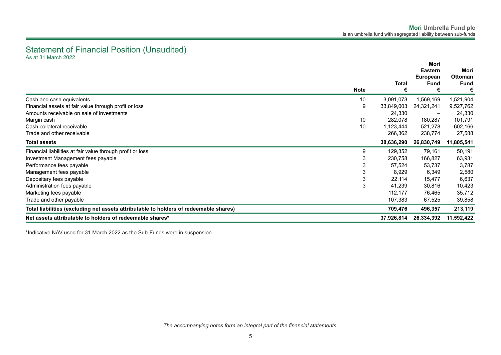### <span id="page-6-0"></span>Statement of Financial Position (Unaudited) As at 31 March 2022

|                                                                                       |             |            | Mori<br><b>Eastern</b> | Mori           |
|---------------------------------------------------------------------------------------|-------------|------------|------------------------|----------------|
|                                                                                       |             |            | European               | <b>Ottoman</b> |
|                                                                                       |             | Total      | <b>Fund</b>            | <b>Fund</b>    |
|                                                                                       | <b>Note</b> |            |                        |                |
| Cash and cash equivalents                                                             | 10          | 3,091,073  | 1,569,169              | 1,521,904      |
| Financial assets at fair value through profit or loss                                 | 9           | 33,849,003 | 24,321,241             | 9,527,762      |
| Amounts receivable on sale of investments                                             |             | 24,330     |                        | 24,330         |
| Margin cash                                                                           | 10          | 282,078    | 180,287                | 101,791        |
| Cash collateral receivable                                                            | 10          | 1,123,444  | 521,278                | 602,166        |
| Trade and other receivable                                                            |             | 266,362    | 238,774                | 27,588         |
| <b>Total assets</b>                                                                   |             | 38,636,290 | 26,830,749             | 11,805,541     |
| Financial liabilities at fair value through profit or loss                            | 9           | 129,352    | 79,161                 | 50,191         |
| Investment Management fees payable                                                    |             | 230,758    | 166,827                | 63,931         |
| Performance fees payable                                                              |             | 57,524     | 53,737                 | 3,787          |
| Management fees payable                                                               |             | 8,929      | 6,349                  | 2,580          |
| Depositary fees payable                                                               | 3           | 22,114     | 15,477                 | 6,637          |
| Administration fees payable                                                           | 3           | 41,239     | 30,816                 | 10,423         |
| Marketing fees payable                                                                |             | 112,177    | 76,465                 | 35,712         |
| Trade and other payable                                                               |             | 107,383    | 67,525                 | 39,858         |
| Total liabilities (excluding net assets attributable to holders of redeemable shares) |             | 709,476    | 496,357                | 213,119        |
| Net assets attributable to holders of redeemable shares*                              |             | 37,926,814 | 26,334,392             | 11,592,422     |

\*Indicative NAV used for 31 March 2022 as the Sub-Funds were in suspension.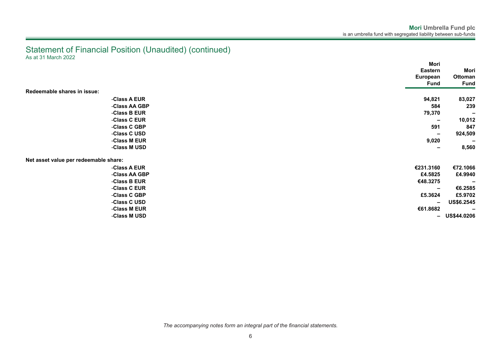### Statement of Financial Position (Unaudited) (continued) As at 31 March 2022

|                                       | Mori                         |                          |
|---------------------------------------|------------------------------|--------------------------|
|                                       | <b>Eastern</b>               | Mori                     |
|                                       | European                     | Ottoman                  |
|                                       | <b>Fund</b>                  | <b>Fund</b>              |
| Redeemable shares in issue:           |                              |                          |
| -Class A EUR                          | 94,821                       | 83,027                   |
| -Class AA GBP                         | 584                          | 239                      |
| -Class B EUR                          | 79,370                       | $\overline{\phantom{0}}$ |
| -Class C EUR                          | $\overline{\phantom{m}}$     | 10,012                   |
| -Class C GBP                          | 591                          | 847                      |
| -Class C USD                          | $\overline{\phantom{a}}$     | 924,509                  |
| -Class M EUR                          | 9,020                        | $\overline{\phantom{a}}$ |
| -Class M USD                          | $\qquad \qquad \blacksquare$ | 8,560                    |
| Net asset value per redeemable share: |                              |                          |
| -Class A EUR                          | €231.3160                    | €72.1066                 |
| -Class AA GBP                         | £4.5825                      | £4.9940                  |
| -Class B EUR                          | €48.3275                     |                          |
| -Class C EUR                          | $\qquad \qquad \blacksquare$ | €6.2585                  |
| -Class C GBP                          | £5.3624                      | £5.9702                  |
| -Class C USD                          | -                            | US\$6.2545               |
| -Class M EUR                          | €61.8682                     | $\overline{\phantom{0}}$ |
| -Class M USD                          |                              | $-$ US\$44.0206          |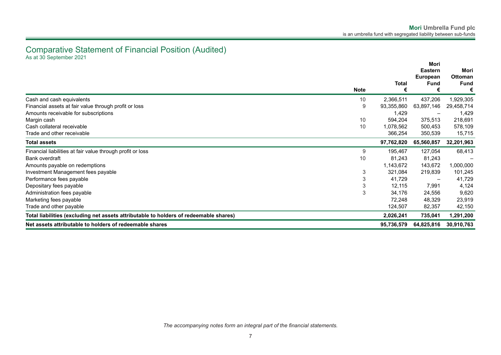### <span id="page-8-0"></span>Comparative Statement of Financial Position (Audited) As at 30 September 2021

|                                                                                       |             |            | Mori<br><b>Eastern</b>   | Mori                          |
|---------------------------------------------------------------------------------------|-------------|------------|--------------------------|-------------------------------|
|                                                                                       | Total       |            | <b>European</b><br>Fund  | <b>Ottoman</b><br><b>Fund</b> |
|                                                                                       | <b>Note</b> | €          |                          | €                             |
| Cash and cash equivalents                                                             | 10          | 2,366,511  | 437,206                  | 1,929,305                     |
| Financial assets at fair value through profit or loss                                 | 9           | 93,355,860 | 63,897,146               | 29,458,714                    |
| Amounts receivable for subscriptions                                                  |             | 1,429      |                          | 1,429                         |
| Margin cash                                                                           | 10          | 594,204    | 375,513                  | 218,691                       |
| Cash collateral receivable                                                            | 10          | 1,078,562  | 500,453                  | 578,109                       |
| Trade and other receivable                                                            |             | 366,254    | 350,539                  | 15,715                        |
| <b>Total assets</b>                                                                   |             | 97,762,820 | 65,560,857               | 32,201,963                    |
| Financial liabilities at fair value through profit or loss                            | 9           | 195,467    | 127,054                  | 68,413                        |
| Bank overdraft                                                                        | 10          | 81,243     | 81,243                   |                               |
| Amounts payable on redemptions                                                        |             | 1,143,672  | 143,672                  | 1,000,000                     |
| Investment Management fees payable                                                    | 3           | 321,084    | 219,839                  | 101,245                       |
| Performance fees payable                                                              | 3           | 41,729     | $\overline{\phantom{m}}$ | 41,729                        |
| Depositary fees payable                                                               | 3           | 12,115     | 7,991                    | 4,124                         |
| Administration fees payable                                                           | 3           | 34,176     | 24,556                   | 9,620                         |
| Marketing fees payable                                                                |             | 72,248     | 48,329                   | 23,919                        |
| Trade and other payable                                                               |             | 124,507    | 82,357                   | 42,150                        |
| Total liabilities (excluding net assets attributable to holders of redeemable shares) |             | 2,026,241  | 735,041                  | 1,291,200                     |
| Net assets attributable to holders of redeemable shares                               |             | 95,736,579 | 64,825,816               | 30,910,763                    |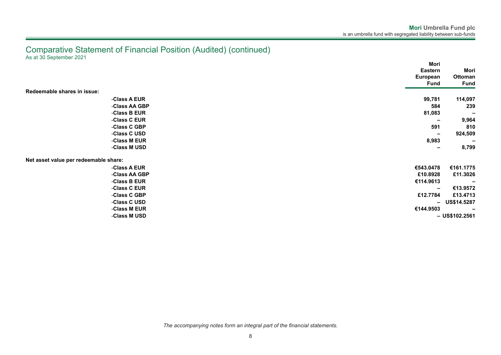### Comparative Statement of Financial Position (Audited) (continued) As at 30 September 2021

|                                       | Mori                     |                          |
|---------------------------------------|--------------------------|--------------------------|
|                                       | <b>Eastern</b>           | Mori                     |
|                                       | European                 | Ottoman                  |
|                                       | Fund                     | <b>Fund</b>              |
| Redeemable shares in issue:           |                          |                          |
| -Class A EUR                          | 99,781                   | 114,097                  |
| -Class AA GBP                         | 584                      | 239                      |
| -Class B EUR                          | 81,083                   | $\overline{\phantom{a}}$ |
| -Class C EUR                          | $\overline{\phantom{a}}$ | 9,964                    |
| -Class C GBP                          | 591                      | 810                      |
| -Class C USD                          | $\overline{\phantom{m}}$ | 924,509                  |
| -Class M EUR                          | 8,983                    |                          |
| -Class M USD                          | $\overline{\phantom{a}}$ | 8,799                    |
| Net asset value per redeemable share: |                          |                          |
| -Class A EUR                          | €543.0478                | €161.1775                |
| -Class AA GBP                         | £10.8928                 | £11.3026                 |
| -Class B EUR                          | €114.9613                |                          |
| -Class C EUR                          | $\overline{\phantom{m}}$ | €13.9572                 |
| -Class C GBP                          | £12.7784                 | £13.4713                 |
| -Class C USD                          | $\overline{\phantom{0}}$ | <b>US\$14.5287</b>       |
| -Class M EUR                          | €144.9503                |                          |
| -Class M USD                          |                          | $-$ US\$102.2561         |

*The accompanying notes form an integral part of the financial statements.*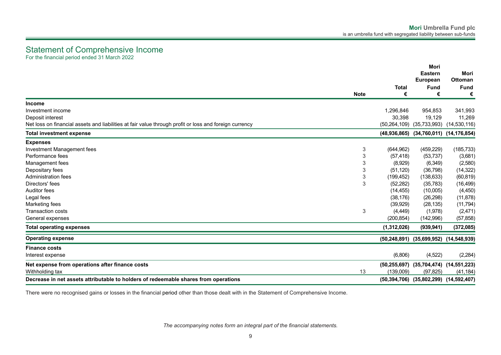## <span id="page-10-0"></span>Statement of Comprehensive Income

For the financial period ended 31 March 2022

|                                                                                                        | <b>Note</b> | <b>Total</b><br>€ | Mori<br><b>Eastern</b><br><b>European</b><br><b>Fund</b><br>€ | Mori<br><b>Ottoman</b><br><b>Fund</b><br>€ |
|--------------------------------------------------------------------------------------------------------|-------------|-------------------|---------------------------------------------------------------|--------------------------------------------|
| <b>Income</b>                                                                                          |             |                   |                                                               |                                            |
| Investment income                                                                                      |             | 1,296,846         | 954,853                                                       | 341,993                                    |
| Deposit interest                                                                                       |             | 30,398            | 19,129                                                        | 11,269                                     |
| Net loss on financial assets and liabilities at fair value through profit or loss and foreign currency |             | (50, 264, 109)    | (35, 733, 993)                                                | (14, 530, 116)                             |
| <b>Total investment expense</b>                                                                        |             |                   | (48,936,865) (34,760,011) (14,176,854)                        |                                            |
| <b>Expenses</b>                                                                                        |             |                   |                                                               |                                            |
| Investment Management fees                                                                             | 3           | (644, 962)        | (459, 229)                                                    | (185, 733)                                 |
| Performance fees                                                                                       | 3           | (57, 418)         | (53, 737)                                                     | (3,681)                                    |
| Management fees                                                                                        | 3           | (8,929)           | (6, 349)                                                      | (2,580)                                    |
| Depositary fees                                                                                        | $\sqrt{3}$  | (51, 120)         | (36, 798)                                                     | (14, 322)                                  |
| Administration fees                                                                                    | 3           | (199, 452)        | (138, 633)                                                    | (60, 819)                                  |
| Directors' fees                                                                                        | 3           | (52, 282)         | (35, 783)                                                     | (16, 499)                                  |
| <b>Auditor fees</b>                                                                                    |             | (14, 455)         | (10,005)                                                      | (4, 450)                                   |
| Legal fees                                                                                             |             | (38, 176)         | (26, 298)                                                     | (11, 878)                                  |
| Marketing fees                                                                                         |             | (39, 929)         | (28, 135)                                                     | (11, 794)                                  |
| <b>Transaction costs</b>                                                                               | $\sqrt{3}$  | (4, 449)          | (1,978)                                                       | (2,471)                                    |
| General expenses                                                                                       |             | (200, 854)        | (142,996)                                                     | (57, 858)                                  |
| <b>Total operating expenses</b>                                                                        |             | (1,312,026)       | (939, 941)                                                    | (372, 085)                                 |
| <b>Operating expense</b>                                                                               |             |                   | $(50, 248, 891)$ $(35, 699, 952)$ $(14, 548, 939)$            |                                            |
| <b>Finance costs</b>                                                                                   |             |                   |                                                               |                                            |
| Interest expense                                                                                       |             | (6,806)           | (4, 522)                                                      | (2, 284)                                   |
| Net expense from operations after finance costs                                                        |             |                   | $(50, 255, 697)$ $(35, 704, 474)$                             | (14, 551, 223)                             |
| Withholding tax                                                                                        | 13          | (139,009)         | (97, 825)                                                     | (41, 184)                                  |
| Decrease in net assets attributable to holders of redeemable shares from operations                    |             |                   | $(50, 394, 706)$ $(35, 802, 299)$ $(14, 592, 407)$            |                                            |

There were no recognised gains or losses in the financial period other than those dealt with in the Statement of Comprehensive Income.

*The accompanying notes form an integral part of the financial statements.*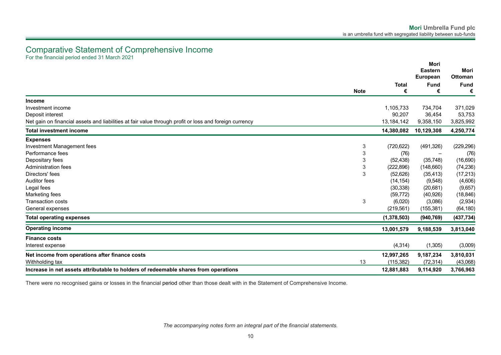### <span id="page-11-0"></span>Comparative Statement of Comprehensive Income For the financial period ended 31 March 2021

|                                                                                                        |                           | <b>Total</b><br><b>Note</b><br>€ | Mori<br><b>Eastern</b><br>European | Mori<br>Ottoman  |
|--------------------------------------------------------------------------------------------------------|---------------------------|----------------------------------|------------------------------------|------------------|
|                                                                                                        |                           |                                  | <b>Fund</b><br>€                   | <b>Fund</b><br>€ |
|                                                                                                        |                           |                                  |                                    |                  |
| <b>Income</b><br>Investment income                                                                     |                           | 1,105,733                        | 734,704                            | 371,029          |
| Deposit interest                                                                                       |                           | 90,207                           | 36,454                             | 53,753           |
| Net gain on financial assets and liabilities at fair value through profit or loss and foreign currency |                           | 13,184,142                       | 9,358,150                          | 3,825,992        |
| <b>Total investment income</b>                                                                         |                           | 14,380,082                       | 10,129,308                         | 4,250,774        |
| <b>Expenses</b>                                                                                        |                           |                                  |                                    |                  |
| Investment Management fees                                                                             | 3                         | (720, 622)                       | (491, 326)                         | (229, 296)       |
| Performance fees                                                                                       | 3                         | (76)                             |                                    | (76)             |
| Depositary fees                                                                                        | 3                         | (52, 438)                        | (35,748)                           | (16, 690)        |
| Administration fees                                                                                    | $\ensuremath{\mathsf{3}}$ | (222, 896)                       | (148,660)                          | (74, 236)        |
| Directors' fees                                                                                        | 3                         | (52, 626)                        | (35, 413)                          | (17, 213)        |
| Auditor fees                                                                                           |                           | (14, 154)                        | (9,548)                            | (4,606)          |
| Legal fees                                                                                             |                           | (30, 338)                        | (20, 681)                          | (9,657)          |
| Marketing fees                                                                                         |                           | (59, 772)                        | (40, 926)                          | (18, 846)        |
| <b>Transaction costs</b>                                                                               | 3                         | (6,020)                          | (3,086)                            | (2,934)          |
| General expenses                                                                                       |                           | (219, 561)                       | (155, 381)                         | (64, 180)        |
| <b>Total operating expenses</b>                                                                        |                           | (1,378,503)                      | (940, 769)                         | (437, 734)       |
| <b>Operating income</b>                                                                                |                           | 13,001,579                       | 9,188,539                          | 3,813,040        |
| <b>Finance costs</b>                                                                                   |                           |                                  |                                    |                  |
| Interest expense                                                                                       |                           | (4, 314)                         | (1,305)                            | (3,009)          |
| Net income from operations after finance costs                                                         |                           | 12,997,265                       | 9,187,234                          | 3,810,031        |
| Withholding tax                                                                                        | 13                        | (115, 382)                       | (72, 314)                          | (43,068)         |
| Increase in net assets attributable to holders of redeemable shares from operations                    |                           | 12,881,883                       | 9,114,920                          | 3,766,963        |

There were no recognised gains or losses in the financial period other than those dealt with in the Statement of Comprehensive Income.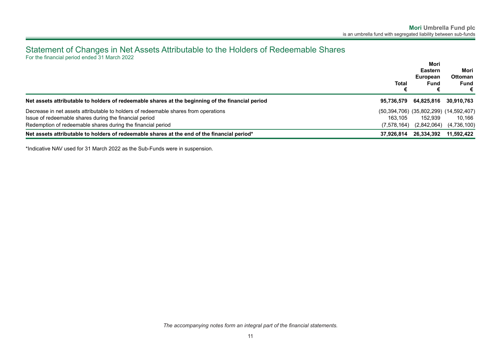### <span id="page-12-0"></span>Statement of Changes in Net Assets Attributable to the Holders of Redeemable Shares For the financial period ended 31 March 2022

|                                                                                                  | Total       | Mori<br><b>Eastern</b><br>European<br>Fund<br>€ | Mori<br><b>Ottoman</b><br>Fund<br>€ |
|--------------------------------------------------------------------------------------------------|-------------|-------------------------------------------------|-------------------------------------|
| Net assets attributable to holders of redeemable shares at the beginning of the financial period |             | 95,736,579 64,825,816                           | 30,910,763                          |
| Decrease in net assets attributable to holders of redeemable shares from operations              |             | (50,394,706) (35,802,299) (14,592,407)          |                                     |
| Issue of redeemable shares during the financial period                                           | 163.105     | 152.939                                         | 10.166                              |
| Redemption of redeemable shares during the financial period                                      | (7,578,164) | (2,842,064)                                     | (4,736,100)                         |
| Net assets attributable to holders of redeemable shares at the end of the financial period*      | 37.926.814  | 26,334,392                                      | 11,592,422                          |

\*Indicative NAV used for 31 March 2022 as the Sub-Funds were in suspension.

*The accompanying notes form an integral part of the financial statements.*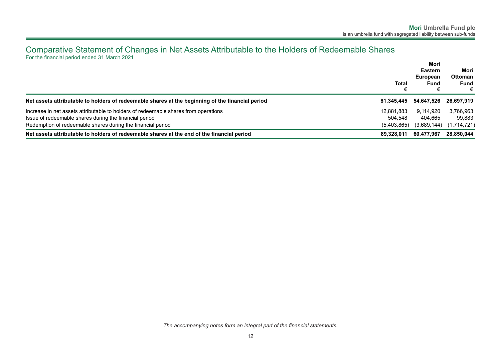### <span id="page-13-0"></span>Comparative Statement of Changes in Net Assets Attributable to the Holders of Redeemable Shares For the financial period ended 31 March 2021

|                                                                                                  | <b>Total</b> | Mori<br><b>Eastern</b><br>European<br>Fund | Mori<br><b>Ottoman</b><br><b>Fund</b><br>€ |
|--------------------------------------------------------------------------------------------------|--------------|--------------------------------------------|--------------------------------------------|
| Net assets attributable to holders of redeemable shares at the beginning of the financial period | 81.345.445   | 54,647,526                                 | 26,697,919                                 |
| Increase in net assets attributable to holders of redeemable shares from operations              | 12.881.883   | 9,114,920                                  | 3,766,963                                  |
| Issue of redeemable shares during the financial period                                           | 504.548      | 404.665                                    | 99,883                                     |
| Redemption of redeemable shares during the financial period                                      | (5,403,865)  | (3,689,144)                                | (1,714,721)                                |
| Net assets attributable to holders of redeemable shares at the end of the financial period       | 89.328.011   | 60,477,967                                 | 28,850,044                                 |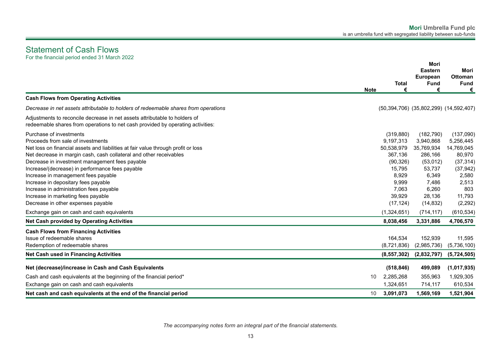### <span id="page-14-0"></span>Statement of Cash Flows For the financial period ended 31 March 2022

|                                                                                                                                                                                                                                                                                                                                                                                                                                                                                                                                   | <b>Note</b> | <b>Total</b><br>€                                                                                                         | <b>Mori</b><br><b>Eastern</b><br><b>European</b><br><b>Fund</b><br>€                                                     | Mori<br>Ottoman<br><b>Fund</b><br>€                                                                                     |
|-----------------------------------------------------------------------------------------------------------------------------------------------------------------------------------------------------------------------------------------------------------------------------------------------------------------------------------------------------------------------------------------------------------------------------------------------------------------------------------------------------------------------------------|-------------|---------------------------------------------------------------------------------------------------------------------------|--------------------------------------------------------------------------------------------------------------------------|-------------------------------------------------------------------------------------------------------------------------|
| <b>Cash Flows from Operating Activities</b>                                                                                                                                                                                                                                                                                                                                                                                                                                                                                       |             |                                                                                                                           |                                                                                                                          |                                                                                                                         |
| Decrease in net assets attributable to holders of redeemable shares from operations                                                                                                                                                                                                                                                                                                                                                                                                                                               |             |                                                                                                                           | (50,394,706) (35,802,299) (14,592,407)                                                                                   |                                                                                                                         |
| Adjustments to reconcile decrease in net assets attributable to holders of<br>redeemable shares from operations to net cash provided by operating activities:                                                                                                                                                                                                                                                                                                                                                                     |             |                                                                                                                           |                                                                                                                          |                                                                                                                         |
| Purchase of investments<br>Proceeds from sale of investments<br>Net loss on financial assets and liabilities at fair value through profit or loss<br>Net decrease in margin cash, cash collateral and other receivables<br>Decrease in investment management fees payable<br>Increase/(decrease) in performance fees payable<br>Increase in management fees payable<br>Increase in depositary fees payable<br>Increase in administration fees payable<br>Increase in marketing fees payable<br>Decrease in other expenses payable |             | (319, 880)<br>9,197,313<br>50,538,979<br>367.136<br>(90, 326)<br>15,795<br>8,929<br>9,999<br>7,063<br>39,929<br>(17, 124) | (182, 790)<br>3,940,868<br>35,769,934<br>286,166<br>(53,012)<br>53,737<br>6,349<br>7,486<br>6,260<br>28,136<br>(14, 832) | (137,090)<br>5,256,445<br>14,769,045<br>80,970<br>(37, 314)<br>(37, 942)<br>2,580<br>2,513<br>803<br>11,793<br>(2, 292) |
| Exchange gain on cash and cash equivalents<br><b>Net Cash provided by Operating Activities</b>                                                                                                                                                                                                                                                                                                                                                                                                                                    |             | (1,324,651)<br>8,038,456                                                                                                  | (714, 117)<br>3,331,886                                                                                                  | (610, 534)<br>4,706,570                                                                                                 |
| <b>Cash Flows from Financing Activities</b><br>Issue of redeemable shares<br>Redemption of redeemable shares<br>Net Cash used in Financing Activities                                                                                                                                                                                                                                                                                                                                                                             |             | 164,534<br>(8,721,836)<br>(8, 557, 302)                                                                                   | 152,939<br>(2,985,736)<br>(2,832,797)                                                                                    | 11,595<br>(5,736,100)<br>(5,724,505)                                                                                    |
| Net (decrease)/increase in Cash and Cash Equivalents<br>Cash and cash equivalents at the beginning of the financial period*                                                                                                                                                                                                                                                                                                                                                                                                       | 10          | (518, 846)<br>2,285,268                                                                                                   | 499,089<br>355,963                                                                                                       | (1,017,935)<br>1,929,305                                                                                                |
| Exchange gain on cash and cash equivalents<br>Net cash and cash equivalents at the end of the financial period                                                                                                                                                                                                                                                                                                                                                                                                                    | 10          | 1,324,651<br>3,091,073                                                                                                    | 714,117<br>1,569,169                                                                                                     | 610,534<br>1,521,904                                                                                                    |

*The accompanying notes form an integral part of the financial statements.*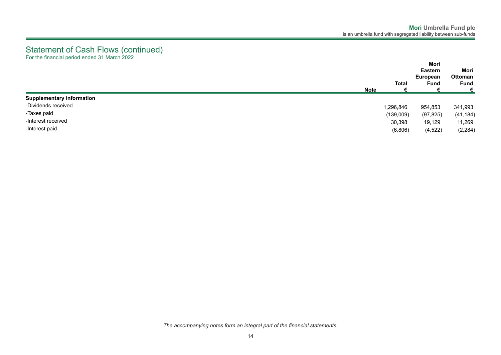### Statement of Cash Flows (continued) For the financial period ended 31 March 2022

|                                  | <b>Total</b><br><b>Note</b> | Mori<br><b>Eastern</b><br>European<br>Fund | Mori<br>Ottoman<br><b>Fund</b><br>€ |
|----------------------------------|-----------------------------|--------------------------------------------|-------------------------------------|
| <b>Supplementary information</b> |                             |                                            |                                     |
| -Dividends received              | 1,296,846                   | 954,853                                    | 341,993                             |
| -Taxes paid                      | (139,009)                   | (97, 825)                                  | (41, 184)                           |
| -Interest received               | 30,398                      | 19,129                                     | 11,269                              |
| -Interest paid                   | (6,806)                     | (4, 522)                                   | (2, 284)                            |

*The accompanying notes form an integral part of the financial statements.*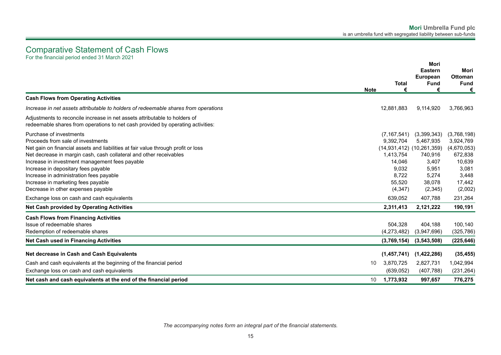<span id="page-16-0"></span>Comparative Statement of Cash Flows For the financial period ended 31 March 2021

**Note 1.1Total € 1.2Mori Eastern European Fund € 1.3Mori Ottoman Fund € Cash Flows from Operating Activities** *Increase in net assets attributable to holders of redeemable shares from operations* 12,881,883 9,114,920 3,766,963 Adjustments to reconcile increase in net assets attributable to holders of redeemable shares from operations to net cash provided by operating activities: Purchase of investments (7,167,541) (3,399,343) (3,768,198) Proceeds from sale of investments 9,392,704 5,467,935 3,924,769 Net gain on financial assets and liabilities at fair value through profit or loss (14,931,412) (10,261,359) (4,670,053) Net decrease in margin cash, cash collateral and other receivables 1,413,754 740,916 672,838 1,413,754 740,916 672,838 Increase in investment management fees payable 16,639 and the state of the state of the state 14,046 3,407 10,639 Increase in depositary fees payable 3,081 3,081 3,081 Increase in administration fees payable 8,722 5,274 3,448 Increase in marketing fees payable 55,520 38,078 17,442 Decrease in other expenses payable (4,347) (2,345) (2,002) Exchange loss on cash and cash equivalents 639,052 407,788 231,264 **Net Cash provided by Operating Activities 2,311,413 2,121,222 190,191 Cash Flows from Financing Activities** Issue of redeemable shares 504,328 404,188 100,140 Redemption of redeemable shares (4,273,482) (3,947,696) (325,786) **Net Cash used in Financing Activities (3,769,154) (3,543,508) (225,646) Net decrease in Cash and Cash Equivalents (1,457,741) (1,422,286) (35,455)** Cash and cash equivalents at the beginning of the financial period 10 3,870,725 2,827,731 1,042,994 Exchange loss on cash and cash equivalents (639,052) (407,788) (231,264) **Net cash and cash equivalents at the end of the financial period** 10 **1,773,932 997,657 776,275**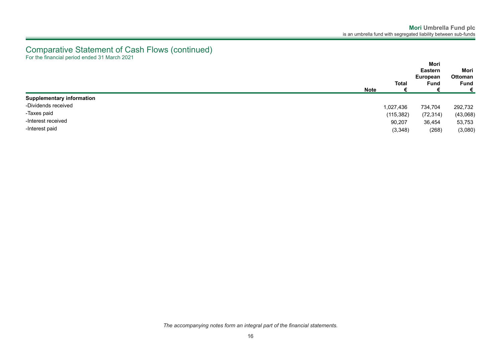### Comparative Statement of Cash Flows (continued) For the financial period ended 31 March 2021

|                                  | <b>Note</b> | <b>Total</b> | Mori<br><b>Eastern</b><br>European<br><b>Fund</b> | Mori<br><b>Ottoman</b><br><b>Fund</b><br>€ |
|----------------------------------|-------------|--------------|---------------------------------------------------|--------------------------------------------|
| <b>Supplementary information</b> |             |              |                                                   |                                            |
| -Dividends received              |             | 1,027,436    | 734,704                                           | 292,732                                    |
| -Taxes paid                      |             | (115, 382)   | (72, 314)                                         | (43,068)                                   |
| -Interest received               |             | 90,207       | 36,454                                            | 53,753                                     |
| -Interest paid                   |             | (3,348)      | (268)                                             | (3,080)                                    |

*The accompanying notes form an integral part of the financial statements.*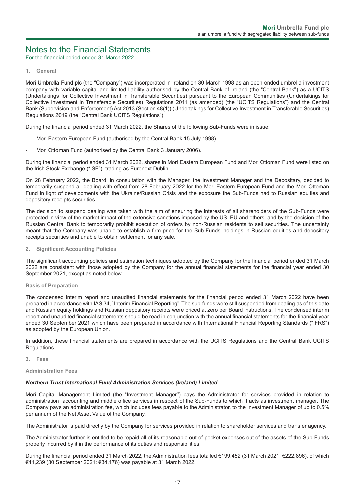### <span id="page-18-0"></span>Notes to the Financial Statements

For the financial period ended 31 March 2022

#### **1. General**

Mori Umbrella Fund plc (the "Company") was incorporated in Ireland on 30 March 1998 as an open-ended umbrella investment company with variable capital and limited liability authorised by the Central Bank of Ireland (the "Central Bank") as a UCITS (Undertakings for Collective Investment in Transferable Securities) pursuant to the European Communities (Undertakings for Collective Investment in Transferable Securities) Regulations 2011 (as amended) (the "UCITS Regulations") and the Central Bank (Supervision and Enforcement) Act 2013 (Section 48(1)) (Undertakings for Collective Investment in Transferable Securities) Regulations 2019 (the "Central Bank UCITS Regulations").

During the financial period ended 31 March 2022, the Shares of the following Sub-Funds were in issue:

- Mori Eastern European Fund (authorised by the Central Bank 15 July 1998).
- Mori Ottoman Fund (authorised by the Central Bank 3 January 2006).

During the financial period ended 31 March 2022, shares in Mori Eastern European Fund and Mori Ottoman Fund were listed on the Irish Stock Exchange ("ISE"), trading as Euronext Dublin.

On 28 February 2022, the Board, in consultation with the Manager, the Investment Manager and the Depositary, decided to temporarily suspend all dealing with effect from 28 February 2022 for the Mori Eastern European Fund and the Mori Ottoman Fund in light of developments with the Ukraine/Russian Crisis and the exposure the Sub-Funds had to Russian equities and depository receipts securities.

The decision to suspend dealing was taken with the aim of ensuring the interests of all shareholders of the Sub-Funds were protected in view of the market impact of the extensive sanctions imposed by the US, EU and others, and by the decision of the Russian Central Bank to temporarily prohibit execution of orders by non-Russian residents to sell securities. The uncertainty meant that the Company was unable to establish a firm price for the Sub-Funds' holdings in Russian equities and depository receipts securities and unable to obtain settlement for any sale.

#### **2. Significant Accounting Policies**

The significant accounting policies and estimation techniques adopted by the Company for the financial period ended 31 March 2022 are consistent with those adopted by the Company for the annual financial statements for the financial year ended 30 September 2021, except as noted below.

#### **Basis of Preparation**

The condensed interim report and unaudited financial statements for the financial period ended 31 March 2022 have been prepared in accordance with IAS 34, `Interim Financial Reporting'. The sub-funds were still suspended from dealing as of this date and Russian equity holdings and Russian depository receipts were priced at zero per Board instructions. The condensed interim report and unaudited financial statements should be read in conjunction with the annual financial statements for the financial year ended 30 September 2021 which have been prepared in accordance with International Financial Reporting Standards ("IFRS") as adopted by the European Union.

In addition, these financial statements are prepared in accordance with the UCITS Regulations and the Central Bank UCITS Regulations.

**3. Fees**

#### **Administration Fees**

#### *Northern Trust International Fund Administration Services (Ireland) Limited*

Mori Capital Management Limited (the "Investment Manager") pays the Administrator for services provided in relation to administration, accounting and middle office services in respect of the Sub-Funds to which it acts as investment manager. The Company pays an administration fee, which includes fees payable to the Administrator, to the Investment Manager of up to 0.5% per annum of the Net Asset Value of the Company.

The Administrator is paid directly by the Company for services provided in relation to shareholder services and transfer agency.

The Administrator further is entitled to be repaid all of its reasonable out-of-pocket expenses out of the assets of the Sub-Funds properly incurred by it in the performance of its duties and responsibilities.

During the financial period ended 31 March 2022, the Administration fees totalled €199,452 (31 March 2021: €222,896), of which €41,239 (30 September 2021: €34,176) was payable at 31 March 2022.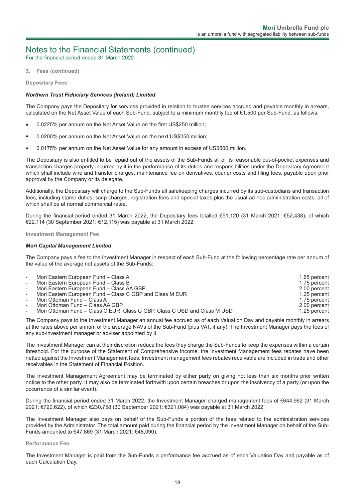For the financial period ended 31 March 2022

**3. Fees (continued)**

**Depositary Fees**

#### *Northern Trust Fiduciary Services (Ireland) Limited*

The Company pays the Depositary for services provided in relation to trustee services accrued and payable monthly in arrears, calculated on the Net Asset Value of each Sub-Fund, subject to a minimum monthly fee of €1,500 per Sub-Fund, as follows:

- 0.0225% per annum on the Net Asset Value on the first US\$250 million;
- 0.0200% per annum on the Net Asset Value on the next US\$250 million;
- 0.0175% per annum on the Net Asset Value for any amount in excess of US\$500 million.

The Depositary is also entitled to be repaid out of the assets of the Sub-Funds all of its reasonable out-of-pocket expenses and transaction charges properly incurred by it in the performance of its duties and responsibilities under the Depositary Agreement which shall include wire and transfer charges, maintenance fee on derivatives, courier costs and filing fees, payable upon prior approval by the Company or its delegate.

Additionally, the Depositary will charge to the Sub-Funds all safekeeping charges incurred by its sub-custodians and transaction fees, including stamp duties, scrip charges, registration fees and special taxes plus the usual ad hoc administration costs, all of which shall be at normal commercial rates.

During the financial period ended 31 March 2022, the Depositary fees totalled €51,120 (31 March 2021: €52,438), of which €22,114 (30 September 2021: €12,115) was payable at 31 March 2022.

**Investment Management Fee**

#### *Mori Capital Management Limited*

The Company pays a fee to the Investment Manager in respect of each Sub-Fund at the following percentage rate per annum of the value of the average net assets of the Sub-Funds:

| $\overline{\phantom{a}}$ | Mori Eastern European Fund – Class A                                      | 1.65 percent |
|--------------------------|---------------------------------------------------------------------------|--------------|
| $\sim$                   | Mori Eastern European Fund - Class B                                      | 1.75 percent |
| $\sim$                   | Mori Eastern European Fund - Class AA GBP                                 | 2.00 percent |
| $\sim$                   | Mori Eastern European Fund – Class C GBP and Class M EUR                  | 1.25 percent |
| $\overline{\phantom{a}}$ | Mori Ottoman Fund – Class A                                               | 1.75 percent |
| $\blacksquare$           | Mori Ottoman Fund - Class AA GBP                                          | 2.00 percent |
| $\overline{\phantom{0}}$ | Mori Ottoman Fund – Class C EUR, Class C GBP, Class C USD and Class M USD | 1.25 percent |

The Company pays to the Investment Manager an annual fee accrued as of each Valuation Day and payable monthly in arrears at the rates above per annum of the average NAVs of the Sub-Fund (plus VAT, if any). The Investment Manager pays the fees of any sub-investment manager or adviser appointed by it.

The Investment Manager can at their discretion reduce the fees they charge the Sub-Funds to keep the expenses within a certain threshold. For the purpose of the Statement of Comprehensive Income, the Investment Management fees rebates have been netted against the Investment Management fees. Investment management fees rebates receivable are included in trade and other receivables in the Statement of Financial Position.

The Investment Management Agreement may be terminated by either party on giving not less than six months prior written notice to the other party. It may also be terminated forthwith upon certain breaches or upon the insolvency of a party (or upon the occurrence of a similar event).

During the financial period ended 31 March 2022, the Investment Manager charged management fees of €644,962 (31 March 2021: €720,622), of which €230,758 (30 September 2021: €321,084) was payable at 31 March 2022.

The Investment Manager also pays on behalf of the Sub-Funds a portion of the fees related to the administration services provided by the Administrator. The total amount paid during the financial period by the Investment Manager on behalf of the Sub-Funds amounted to €47,869 (31 March 2021: €48,090).

#### **Performance Fee**

The Investment Manager is paid from the Sub-Funds a performance fee accrued as of each Valuation Day and payable as of each Calculation Day.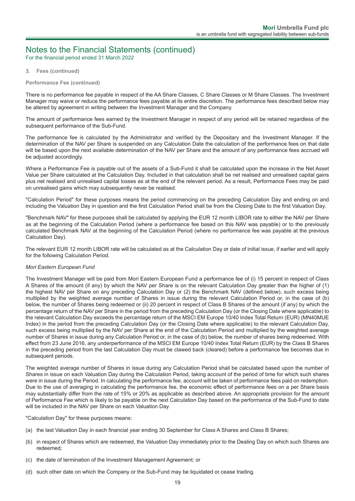For the financial period ended 31 March 2022

#### **3. Fees (continued)**

#### **Performance Fee (continued)**

There is no performance fee payable in respect of the AA Share Classes, C Share Classes or M Share Classes. The Investment Manager may waive or reduce the performance fees payable at its entire discretion. The performance fees described below may be altered by agreement in writing between the Investment Manager and the Company.

The amount of performance fees earned by the Investment Manager in respect of any period will be retained regardless of the subsequent performance of the Sub-Fund.

The performance fee is calculated by the Administrator and verified by the Depositary and the Investment Manager. If the determination of the NAV per Share is suspended on any Calculation Date the calculation of the performance fees on that date will be based upon the next available determination of the NAV per Share and the amount of any performance fees accrued will be adjusted accordingly.

Where a Performance Fee is payable out of the assets of a Sub-Fund it shall be calculated upon the increase in the Net Asset Value per Share calculated at the Calculation Day. Included in that calculation shall be net realised and unrealised capital gains plus net realised and unrealised capital losses as at the end of the relevant period. As a result, Performance Fees may be paid on unrealised gains which may subsequently never be realised.

"Calculation Period" for these purposes means the period commencing on the preceding Calculation Day and ending on and including the Valuation Day in question and the first Calculation Period shall be from the Closing Date to the first Valuation Day.

"Benchmark NAV" for these purposes shall be calculated by applying the EUR 12 month LIBOR rate to either the NAV per Share as at the beginning of the Calculation Period (where a performance fee based on this NAV was payable) or to the previously calculated Benchmark NAV at the beginning of the Calculation Period (where no performance fee was payable at the previous Calculation Day).

The relevant EUR 12 month LIBOR rate will be calculated as at the Calculation Day or date of initial issue, if earlier and will apply for the following Calculation Period.

#### *Mori Eastern European Fund*

The Investment Manager will be paid from Mori Eastern European Fund a performance fee of (i) 15 percent in respect of Class A Shares of the amount (if any) by which the NAV per Share is on the relevant Calculation Day greater than the higher of (1) the highest NAV per Share on any preceding Calculation Day or (2) the Benchmark NAV (defined below), such excess being multiplied by the weighted average number of Shares in issue during the relevant Calculation Period or, in the case of (b) below, the number of Shares being redeemed or (ii) 20 percent in respect of Class B Shares of the amount (if any) by which the percentage return of the NAV per Share in the period from the preceding Calculation Day (or the Closing Date where applicable) to the relevant Calculation Day exceeds the percentage return of the MSCI EM Europe 10/40 Index Total Return (EUR) (MN40MUE Index) in the period from the preceding Calculation Day (or the Closing Date where applicable) to the relevant Calculation Day, such excess being multiplied by the NAV per Share at the end of the Calculation Period and multiplied by the weighted average number of Shares in issue during any Calculation Period or, in the case of (b) below, the number of shares being redeemed. With effect from 23 June 2016, any underperformance of the MSCI EM Europe 10/40 Index Total Return (EUR) by the Class B Shares in the preceding period from the last Calculation Day must be clawed back (cleared) before a performance fee becomes due in subsequent periods.

The weighted average number of Shares in issue during any Calculation Period shall be calculated based upon the number of Shares in issue on each Valuation Day during the Calculation Period, taking account of the period of time for which such shares were in issue during the Period. In calculating the performance fee, account will be taken of performance fees paid on redemption. Due to the use of averaging in calculating the performance fee, the economic effect of performance fees on a per Share basis may substantially differ from the rate of 15% or 20% as applicable as described above. An appropriate provision for the amount of Performance Fee which is likely to be payable on the next Calculation Day based on the performance of the Sub-Fund to date will be included in the NAV per Share on each Valuation Day.

"Calculation Day" for these purposes means:

- (a) the last Valuation Day in each financial year ending 30 September for Class A Shares and Class B Shares;
- (b) in respect of Shares which are redeemed, the Valuation Day immediately prior to the Dealing Day on which such Shares are redeemed;
- (c) the date of termination of the Investment Management Agreement; or
- (d) such other date on which the Company or the Sub-Fund may be liquidated or cease trading.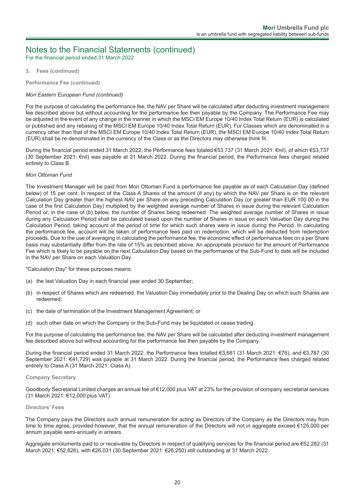For the financial period ended 31 March 2022

#### **3. Fees (continued)**

**Performance Fee (continued)**

#### *Mori Eastern European Fund (continued)*

For the purpose of calculating the performance fee, the NAV per Share will be calculated after deducting investment management fee described above but without accounting for the performance fee then payable by the Company. The Performance Fee may be adjusted in the event of any change in the manner in which the MSCI EM Europe 10/40 Index Total Return (EUR) is calculated or published and any rebasing of the MSCI EM Europe 10/40 Index Total Return (EUR). For Classes which are denominated in a currency other than that of the MSCI EM Europe 10/40 Index Total Return (EUR), the MSCI EM Europe 10/40 Index Total Return (EUR) shall be re-denominated in the currency of the Class or as the Directors may otherwise think fit.

During the financial period ended 31 March 2022, the Performance fees totaled €53,737 (31 March 2021: €nil), of which €53,737 (30 September 2021: €nil) was payable at 31 March 2022. During the financial period, the Performance fees charged related entirely to Class B.

#### *Mori Ottoman Fund*

The Investment Manager will be paid from Mori Ottoman Fund a performance fee payable as of each Calculation Day (defined below) of 15 per cent. In respect of the Class A Shares of the amount (if any) by which the NAV per Share is on the relevant Calculation Day greater than the highest NAV per Share on any preceding Calculation Day (or greater than EUR 100.00 in the case of the first Calculation Day) multiplied by the weighted average number of Shares in issue during the relevant Calculation Period or, in the case of (b) below, the number of Shares being redeemed. The weighted average number of Shares in issue during any Calculation Period shall be calculated based upon the number of Shares in issue on each Valuation Day during the Calculation Period, taking account of the period of time for which such shares were in issue during the Period. In calculating the performance fee, account will be taken of performance fees paid on redemption, which will be deducted from redemption proceeds. Due to the use of averaging in calculating the performance fee, the economic effect of performance fees on a per Share basis may substantially differ from the rate of 15% as described above. An appropriate provision for the amount of Performance Fee which is likely to be payable on the next Calculation Day based on the performance of the Sub-Fund to date will be included in the NAV per Share on each Valuation Day.

"Calculation Day" for these purposes means:

- (a) the last Valuation Day in each financial year ended 30 September;
- (b) in respect of Shares which are redeemed, the Valuation Day immediately prior to the Dealing Day on which such Shares are redeemed;
- (c) the date of termination of the Investment Management Agreement; or
- (d) such other date on which the Company or the Sub-Fund may be liquidated or cease trading.

For the purpose of calculating the performance fee, the NAV per Share will be calculated after deducting investment management fee described above but without accounting for the performance fee then payable by the Company.

During the financial period ended 31 March 2022, the Performance fees totalled €3,681 (31 March 2021: €76), and €3,787 (30 September 2021: €41,729) was payable at 31 March 2022. During the financial period, the Performance fees charged related entirely to Class A (31 March 2021: Class A).

#### **Company Secretary**

Goodbody Secretarial Limited charges an annual fee of €12,000 plus VAT at 23% for the provision of company secretarial services (31 March 2021: €12,000 plus VAT).

#### **Directors' Fees**

The Company pays the Directors such annual remuneration for acting as Directors of the Company as the Directors may from time to time agree, provided however, that the annual remuneration of the Directors will not in aggregate exceed €125,000 per annum payable semi-annually in arrears.

Aggregate emoluments paid to or receivable by Directors in respect of qualifying services for the financial period are €52,282 (31 March 2021: €52,626), with €26,031 (30 September 2021: €26,250) still outstanding at 31 March 2022.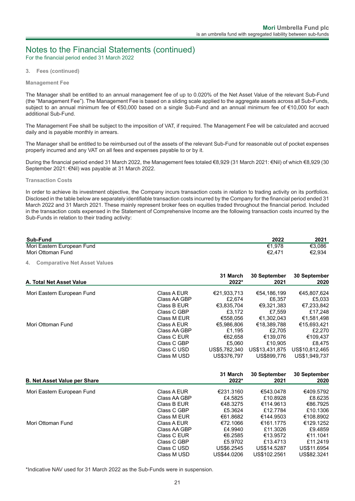For the financial period ended 31 March 2022

**3. Fees (continued)**

#### **Management Fee**

The Manager shall be entitled to an annual management fee of up to 0.020% of the Net Asset Value of the relevant Sub-Fund (the "Management Fee"). The Management Fee is based on a sliding scale applied to the aggregate assets across all Sub-Funds, subject to an annual minimum fee of €50,000 based on a single Sub-Fund and an annual minimum fee of €10,000 for each additional Sub-Fund.

The Management Fee shall be subject to the imposition of VAT, if required. The Management Fee will be calculated and accrued daily and is payable monthly in arrears.

The Manager shall be entitled to be reimbursed out of the assets of the relevant Sub-Fund for reasonable out of pocket expenses properly incurred and any VAT on all fees and expenses payable to or by it.

During the financial period ended 31 March 2022, the Management fees totaled €8,929 (31 March 2021: €Nil) of which €8,929 (30 September 2021: €Nil) was payable at 31 March 2022.

#### **Transaction Costs**

In order to achieve its investment objective, the Company incurs transaction costs in relation to trading activity on its portfolios. Disclosed in the table below are separately identifiable transaction costs incurred by the Company for the financial period ended 31 March 2022 and 31 March 2021. These mainly represent broker fees on equities traded throughout the financial period. Included in the transaction costs expensed in the Statement of Comprehensive Income are the following transaction costs incurred by the Sub-Funds in relation to their trading activity:

| Sub-Fund                   | 2022   | 2021   |
|----------------------------|--------|--------|
| Mori Eastern European Fund | €1.978 | €3.086 |
| Mori Ottoman Fund          | €2.471 | €2.934 |

#### **4. Comparative Net Asset Values**

| A. Total Net Asset Value   |              | 31 March<br>2022* | <b>30 September</b><br>2021 | <b>30 September</b><br>2020 |
|----------------------------|--------------|-------------------|-----------------------------|-----------------------------|
| Mori Eastern European Fund | Class A EUR  | €21,933,713       | €54,186,199                 | €45,807,624                 |
|                            | Class AA GBP | £2.674            | £6.357                      | £5,033                      |
|                            | Class B EUR  | €3.835.704        | €9.321.383                  | €7,233,842                  |
|                            | Class C GBP  | £3.172            | £7.559                      | £17,248                     |
|                            | Class M EUR  | €558.056          | €1.302.043                  | €1,581,498                  |
| Mori Ottoman Fund          | Class A EUR  | €5,986,806        | €18,389,788                 | €15,693,421                 |
|                            | Class AA GBP | £1.195            | £2.705                      | £2,270                      |
|                            | Class C EUR  | €62.658           | €139.076                    | €109.437                    |
|                            | Class C GBP  | £5.060            | £10.905                     | £8.475                      |
|                            | Class C USD  | US\$5,782,340     | US\$13,431,875              | US\$10,812,465              |
|                            | Class M USD  | US\$376.797       | US\$899,776                 | US\$1,949,737               |

| <b>B. Net Asset Value per Share</b> |              | 31 March<br>2022* | 30 September<br>2021 | 30 September<br>2020 |
|-------------------------------------|--------------|-------------------|----------------------|----------------------|
| Mori Eastern European Fund          | Class A EUR  | €231.3160         | €543.0478            | €409.5792            |
|                                     | Class AA GBP | £4.5825           | £10.8928             | £8.6235              |
|                                     | Class B EUR  | €48.3275          | €114.9613            | €86.7925             |
|                                     | Class C GBP  | £5.3624           | £12.7784             | £10.1306             |
|                                     | Class M FUR  | €61.8682          | €144.9503            | €108.8902            |
| Mori Ottoman Fund                   | Class A EUR  | €72.1066          | €161.1775            | €129.1252            |
|                                     | Class AA GBP | £4.9940           | £11.3026             | £9.4859              |
|                                     | Class C EUR  | €6.2585           | €13.9572             | €11.1041             |
|                                     | Class C GBP  | £5.9702           | £13.4713             | £11,2419             |
|                                     | Class C USD  | US\$6,2545        | US\$14,5287          | US\$11,6954          |
|                                     | Class M USD  | US\$44.0206       | US\$102.2561         | US\$82.3241          |

\*Indicative NAV used for 31 March 2022 as the Sub-Funds were in suspension.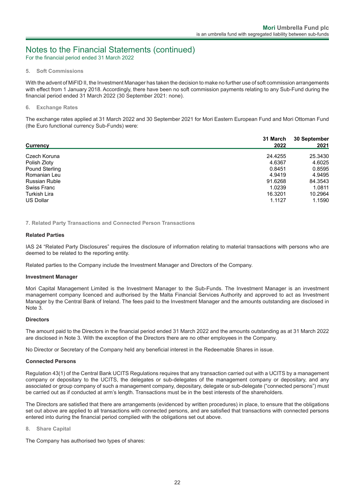For the financial period ended 31 March 2022

#### **5. Soft Commissions**

With the advent of MiFID II, the Investment Manager has taken the decision to make no further use of soft commission arrangements with effect from 1 January 2018. Accordingly, there have been no soft commission payments relating to any Sub-Fund during the financial period ended 31 March 2022 (30 September 2021: none).

#### **6. Exchange Rates**

The exchange rates applied at 31 March 2022 and 30 September 2021 for Mori Eastern European Fund and Mori Ottoman Fund (the Euro functional currency Sub-Funds) were:

|                       | 31 March | 30 September |
|-----------------------|----------|--------------|
| Currency              | 2022     | 2021         |
| Czech Koruna          | 24.4255  | 25.3430      |
| Polish Zloty          | 4.6367   | 4.6025       |
| <b>Pound Sterling</b> | 0.8451   | 0.8595       |
| Romanian Leu          | 4.9419   | 4.9495       |
| <b>Russian Ruble</b>  | 91.6268  | 84.3543      |
| <b>Swiss Franc</b>    | 1.0239   | 1.0811       |
| <b>Turkish Lira</b>   | 16.3201  | 10.2964      |
| <b>US Dollar</b>      | 1.1127   | 1.1590       |

**7. Related Party Transactions and Connected Person Transactions**

#### **Related Parties**

IAS 24 "Related Party Disclosures" requires the disclosure of information relating to material transactions with persons who are deemed to be related to the reporting entity.

Related parties to the Company include the Investment Manager and Directors of the Company.

#### **Investment Manager**

Mori Capital Management Limited is the Investment Manager to the Sub-Funds. The Investment Manager is an investment management company licenced and authorised by the Malta Financial Services Authority and approved to act as Investment Manager by the Central Bank of Ireland. The fees paid to the Investment Manager and the amounts outstanding are disclosed in Note 3.

#### **Directors**

The amount paid to the Directors in the financial period ended 31 March 2022 and the amounts outstanding as at 31 March 2022 are disclosed in Note 3. With the exception of the Directors there are no other employees in the Company.

No Director or Secretary of the Company held any beneficial interest in the Redeemable Shares in issue.

#### **Connected Persons**

Regulation 43(1) of the Central Bank UCITS Regulations requires that any transaction carried out with a UCITS by a management company or depositary to the UCITS, the delegates or sub-delegates of the management company or depositary, and any associated or group company of such a management company, depositary, delegate or sub-delegate ("connected persons") must be carried out as if conducted at arm's length. Transactions must be in the best interests of the shareholders.

The Directors are satisfied that there are arrangements (evidenced by written procedures) in place, to ensure that the obligations set out above are applied to all transactions with connected persons, and are satisfied that transactions with connected persons entered into during the financial period complied with the obligations set out above.

#### **8. Share Capital**

The Company has authorised two types of shares: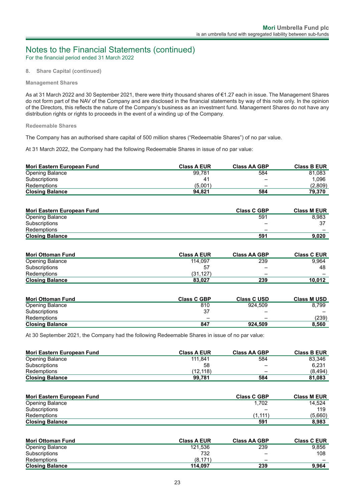For the financial period ended 31 March 2022

#### **8. Share Capital (continued)**

#### **Management Shares**

As at 31 March 2022 and 30 September 2021, there were thirty thousand shares of €1.27 each in issue. The Management Shares do not form part of the NAV of the Company and are disclosed in the financial statements by way of this note only. In the opinion of the Directors, this reflects the nature of the Company's business as an investment fund. Management Shares do not have any distribution rights or rights to proceeds in the event of a winding up of the Company.

**Redeemable Shares**

The Company has an authorised share capital of 500 million shares ("Redeemable Shares") of no par value.

At 31 March 2022, the Company had the following Redeemable Shares in issue of no par value:

| Mori Eastern European Fund | <b>Class A EUR</b> | <b>Class AA GBP</b> | <b>Class B EUR</b> |
|----------------------------|--------------------|---------------------|--------------------|
| Opening Balance            | 99.781             | 584                 | 81.083             |
| Subscriptions              | 41                 | -                   | 1.096              |
| Redemptions                | (5.001)            | -                   | (2,809)            |
| <b>Closing Balance</b>     | 94.821             | 584                 | 79.370             |

| Mori Eastern European Fund | <b>Class C GBP</b> | <b>Class M EUR</b> |
|----------------------------|--------------------|--------------------|
| Opening Balance            | 591                | 8.983              |
| Subscriptions              |                    |                    |
| Redemptions                | _                  |                    |
| <b>Closing Balance</b>     | 591                | 9.020              |

| <b>Mori Ottoman Fund</b> | <b>Class A EUR</b> | <b>Class AA GBP</b> | <b>Class C EUR</b> |
|--------------------------|--------------------|---------------------|--------------------|
| <b>Opening Balance</b>   | 114.097            | 239                 | 9.964              |
| Subscriptions            | 57                 | -                   | 48                 |
| Redemptions              | (31.127)           | -                   | -                  |
| <b>Closing Balance</b>   | 83.027             | 239                 | 10.012             |

| <b>Mori Ottoman Fund</b> | <b>Class C GBP</b> | <b>Class C USD</b> | <b>Class M USD</b> |
|--------------------------|--------------------|--------------------|--------------------|
| Opening Balance          | 810                | 924.509            | 8.799              |
| Subscriptions            | -37                | -                  | -                  |
| Redemptions              | -                  | _                  | (239)              |
| <b>Closing Balance</b>   | 847                | 924.509            | 8,560              |

At 30 September 2021, the Company had the following Redeemable Shares in issue of no par value:

| Mori Eastern European Fund | <b>Class A EUR</b> | <b>Class AA GBP</b> | <b>Class B EUR</b> |
|----------------------------|--------------------|---------------------|--------------------|
| <b>Opening Balance</b>     | 111.841            | 584                 | 83.346             |
| Subscriptions              | 58                 | -                   | 6.231              |
| Redemptions                | (12, 118)          | -                   | (8, 494)           |
| <b>Closing Balance</b>     | 99.781             | 584                 | 81,083             |

| Mori Eastern European Fund | <b>Class C GBP</b> | <b>Class M EUR</b> |
|----------------------------|--------------------|--------------------|
| Opening Balance            | 1.702              | 14.524             |
| Subscriptions              | -                  | 119                |
| Redemptions                | (1.111)            | (5,660)            |
| <b>Closing Balance</b>     | 591                | 8,983              |

| <b>Mori Ottoman Fund</b> | <b>Class A EUR</b> | <b>Class AA GBP</b> | <b>Class C EUR</b> |
|--------------------------|--------------------|---------------------|--------------------|
| <b>Opening Balance</b>   | 121.536            | 239                 | 9.856              |
| Subscriptions            | 732                |                     | 108                |
| Redemptions              | (8, 171)           | -                   | -                  |
| <b>Closing Balance</b>   | 114.097            | 239                 | 9,964              |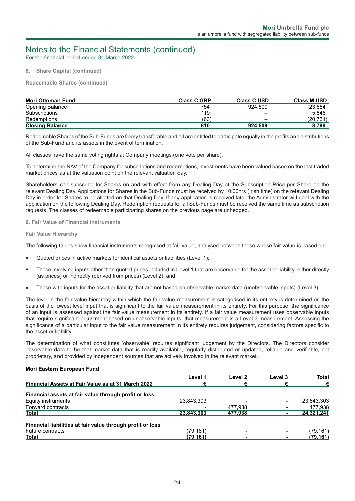For the financial period ended 31 March 2022

#### **8. Share Capital (continued)**

**Redeemable Shares (continued)**

| <b>Mori Ottoman Fund</b> | <b>Class C GBP</b> | <b>Class C USD</b> | <b>Class M USD</b> |
|--------------------------|--------------------|--------------------|--------------------|
| Opening Balance          | 754                | 924.509            | 23,684             |
| Subscriptions            | 119                | _                  | 5.846              |
| Redemptions              | (63)               | -                  | (20.731)           |
| <b>Closing Balance</b>   | 810                | 924.509            | 8.799              |

Redeemable Shares of the Sub-Funds are freely transferable and all are entitled to participate equally in the profits and distributions of the Sub-Fund and its assets in the event of termination.

All classes have the same voting rights at Company meetings (one vote per share).

To determine the NAV of the Company for subscriptions and redemptions, investments have been valued based on the last traded market prices as at the valuation point on the relevant valuation day.

Shareholders can subscribe for Shares on and with effect from any Dealing Day at the Subscription Price per Share on the relevant Dealing Day. Applications for Shares in the Sub-Funds must be received by 10:00hrs (Irish time) on the relevant Dealing Day in order for Shares to be allotted on that Dealing Day. If any application is received late, the Administrator will deal with the application on the following Dealing Day. Redemption requests for all Sub-Funds must be received the same time as subscription requests. The classes of redeemable participating shares on the previous page are unhedged.

#### **9. Fair Value of Financial Instruments**

#### **Fair Value Hierarchy**

The following tables show financial instruments recognised at fair value, analysed between those whose fair value is based on:

- Quoted prices in active markets for identical assets or liabilities (Level 1);
- Those involving inputs other than quoted prices included in Level 1 that are observable for the asset or liability, either directly (as prices) or indirectly (derived from prices) (Level 2); and
- Those with inputs for the asset or liability that are not based on observable market data (unobservable inputs) (Level 3).

The level in the fair value hierarchy within which the fair value measurement is categorised in its entirety is determined on the basis of the lowest level input that is significant to the fair value measurement in its entirety. For this purpose, the significance of an input is assessed against the fair value measurement in its entirety. If a fair value measurement uses observable inputs that require significant adjustment based on unobservable inputs, that measurement is a Level 3 measurement. Assessing the significance of a particular input to the fair value measurement in its entirety requires judgement, considering factors specific to the asset or liability.

The determination of what constitutes 'observable' requires significant judgement by the Directors. The Directors consider observable data to be that market data that is readily available, regularly distributed or updated, reliable and verifiable, not proprietary, and provided by independent sources that are actively involved in the relevant market.

#### **Mori Eastern European Fund**

|                                                            | Level 1    | Level 2 | Level 3 | <b>Total</b> |
|------------------------------------------------------------|------------|---------|---------|--------------|
| <b>Financial Assets at Fair Value as at 31 March 2022</b>  | €          | €       | €       | €            |
| Financial assets at fair value through profit or loss      |            |         |         |              |
| Equity instruments                                         | 23.843.303 |         |         | 23,843,303   |
| Forward contracts                                          |            | 477.938 |         | 477,938      |
| Total                                                      | 23.843.303 | 477.938 |         | 24,321,241   |
| Financial liabilities at fair value through profit or loss |            |         |         |              |
| <b>Future contracts</b>                                    | (79.161)   |         |         | (79,161)     |
| Total                                                      | (79, 161)  |         |         | (79, 161)    |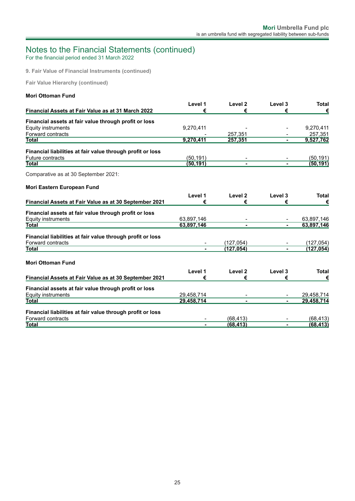For the financial period ended 31 March 2022

**9. Fair Value of Financial Instruments (continued)**

**Fair Value Hierarchy (continued)**

| <b>Mori Ottoman Fund</b> |  |
|--------------------------|--|
|                          |  |

| Level 1        | Level <sub>2</sub>                   | Level 3               | <b>Total</b> |
|----------------|--------------------------------------|-----------------------|--------------|
| €              | €                                    | €                     | €            |
|                |                                      |                       |              |
|                |                                      |                       | 9,270,411    |
|                |                                      |                       | 257,351      |
| 9,270,411      | 257,351                              |                       | 9,527,762    |
|                |                                      |                       |              |
|                |                                      |                       | (50, 191)    |
| (50.191)       | $\blacksquare$                       | $\blacksquare$        | (50, 191)    |
|                |                                      |                       |              |
|                |                                      |                       |              |
| Level 1        | Level <sub>2</sub>                   | Level 3               | <b>Total</b> |
| €              | €                                    | €                     | €            |
|                |                                      |                       |              |
|                |                                      |                       | 63,897,146   |
| 63,897,146     |                                      |                       | 63,897,146   |
|                |                                      |                       |              |
|                |                                      |                       | (127, 054)   |
| $\blacksquare$ | (127.054)                            |                       | (127, 054)   |
|                |                                      |                       |              |
| Level 1        | Level 2                              | Level 3               | <b>Total</b> |
| €              | €                                    | €                     | €            |
|                |                                      |                       |              |
| 29,458,714     |                                      |                       | 29,458,714   |
| 29,458,714     |                                      |                       | 29,458,714   |
|                |                                      |                       |              |
|                | (68, 413)                            |                       | (68,413)     |
| $\blacksquare$ | (68.413)                             | ٠                     | (68, 413)    |
|                | 9,270,411<br>(50, 191)<br>63,897,146 | 257,351<br>(127, 054) |              |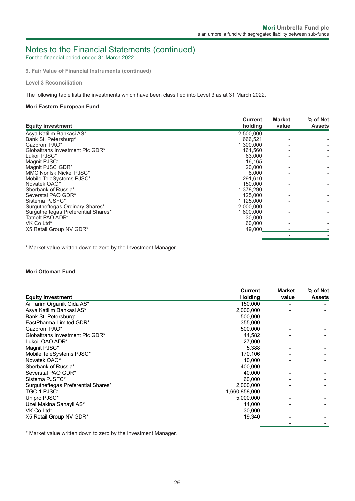For the financial period ended 31 March 2022

**9. Fair Value of Financial Instruments (continued)**

**Level 3 Reconciliation**

The following table lists the investments which have been classified into Level 3 as at 31 March 2022.

#### **Mori Eastern European Fund**

|                                     | <b>Current</b> | <b>Market</b> | % of Net      |
|-------------------------------------|----------------|---------------|---------------|
| <b>Equity investment</b>            | holding        | value         | <b>Assets</b> |
| Asya Katilim Bankasi AS*            | 2,500,000      |               |               |
| Bank St. Petersburg*                | 666,521        |               |               |
| Gazprom PAO*                        | 1,300,000      |               |               |
| Globaltrans Investment Plc GDR*     | 161,560        |               |               |
| Lukoil PJSC*                        | 63,000         |               |               |
| Magnit PJSC*                        | 16,165         |               |               |
| Magnit PJSC GDR*                    | 20,000         |               |               |
| MMC Norilsk Nickel PJSC*            | 8,000          |               |               |
| Mobile TeleSystems PJSC*            | 291,610        |               |               |
| Novatek OAO*                        | 150,000        |               |               |
| Sberbank of Russia*                 | 1,378,290      |               |               |
| Severstal PAO GDR*                  | 125,000        |               |               |
| Sistema PJSFC*                      | 1,125,000      |               |               |
| Surgutneftegas Ordinary Shares*     | 2,000,000      |               |               |
| Surgutneftegas Preferential Shares* | 1,800,000      |               |               |
| Tatneft PAO ADR*                    | 30,000         |               |               |
| VK Co Ltd*                          | 60,000         |               |               |
| X5 Retail Group NV GDR*             | 49,000         |               |               |
|                                     |                |               |               |

\* Market value written down to zero by the Investment Manager.

### **Mori Ottoman Fund**

|                                     | <b>Current</b> | Market | % of Net      |
|-------------------------------------|----------------|--------|---------------|
| <b>Equity Investment</b>            | <b>Holding</b> | value  | <b>Assets</b> |
| Ar Tarim Organik Gida AS*           | 150,000        |        |               |
| Asya Katilim Bankasi AS*            | 2,000,000      |        |               |
| Bank St. Petersburg*                | 500,000        |        |               |
| EastPharma Limited GDR*             | 355,000        |        |               |
| Gazprom PAO*                        | 500,000        |        |               |
| Globaltrans Investment Plc GDR*     | 44,582         |        |               |
| Lukoil OAO ADR*                     | 27,000         |        |               |
| Magnit PJSC*                        | 5.388          |        |               |
| Mobile TeleSystems PJSC*            | 170,106        |        |               |
| Novatek OAO*                        | 10,000         |        |               |
| Sberbank of Russia*                 | 400,000        |        |               |
| Severstal PAO GDR*                  | 40,000         |        |               |
| Sistema PJSFC*                      | 60,000         |        |               |
| Surgutneftegas Preferential Shares* | 2,000,000      |        |               |
| TGC-1 PJSC*                         | 1,660,858,000  |        |               |
| Unipro PJSC*                        | 5,000,000      |        |               |
| Uzel Makina Sanayii AS*             | 14,000         |        |               |
| VK Co Ltd*                          | 30,000         |        |               |
| X5 Retail Group NV GDR*             | 19,340         |        |               |
|                                     |                |        |               |

\* Market value written down to zero by the Investment Manager.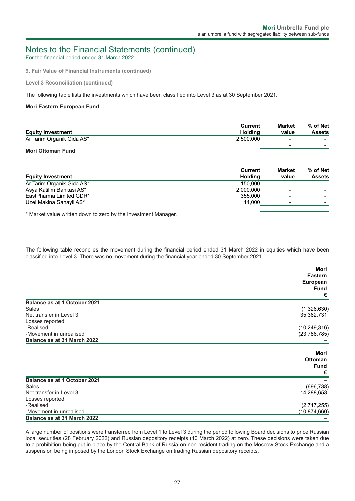For the financial period ended 31 March 2022

**9. Fair Value of Financial Instruments (continued)**

**Level 3 Reconciliation (continued)**

The following table lists the investments which have been classified into Level 3 as at 30 September 2021.

#### **Mori Eastern European Fund**

|                           | Current   | <b>Market</b>            | % of Net                 |
|---------------------------|-----------|--------------------------|--------------------------|
| <b>Equity Investment</b>  | Holdina   | value                    | <b>Assets</b>            |
| Ar Tarim Organik Gida AS* | 2,500,000 | $\overline{\phantom{a}}$ | $\overline{\phantom{0}}$ |
| -- - - - -                |           | -                        |                          |

#### **Mori Ottoman Fund**

|                           | <b>Current</b> | <b>Market</b> | % of Net      |
|---------------------------|----------------|---------------|---------------|
| <b>Equity Investment</b>  | <b>Holding</b> | value         | <b>Assets</b> |
| Ar Tarim Organik Gida AS* | 150,000        |               |               |
| Asya Katilim Bankasi AS*  | 2,000,000      |               |               |
| EastPharma Limited GDR*   | 355,000        | -             |               |
| Uzel Makina Sanayii AS*   | 14.000         |               |               |
|                           |                |               |               |

\* Market value written down to zero by the Investment Manager.

The following table reconciles the movement during the financial period ended 31 March 2022 in equities which have been classified into Level 3. There was no movement during the financial year ended 30 September 2021.

|                              | Mori<br>Eastern<br><b>European</b><br><b>Fund</b><br>€ |
|------------------------------|--------------------------------------------------------|
| Balance as at 1 October 2021 |                                                        |
| Sales                        | (1,326,630)                                            |
| Net transfer in Level 3      | 35,362,731                                             |
| Losses reported              |                                                        |
| -Realised                    | (10, 249, 316)                                         |
| -Movement in unrealised      | (23, 786, 785)                                         |
| Balance as at 31 March 2022  |                                                        |
|                              | Mori<br><b>Ottoman</b><br><b>Fund</b><br>€             |
| Balance as at 1 October 2021 |                                                        |
| Sales                        | (696, 738)                                             |
| Net transfer in Level 3      | 14,288,653                                             |
| Losses reported              |                                                        |
| -Realised                    | (2,717,255)                                            |
| -Movement in unrealised      | (10,874,660)                                           |
| Balance as at 31 March 2022  |                                                        |

A large number of positions were transferred from Level 1 to Level 3 during the period following Board decisions to price Russian local securities (28 February 2022) and Russian depository receipts (10 March 2022) at zero. These decisions were taken due to a prohibition being put in place by the Central Bank of Russia on non-resident trading on the Moscow Stock Exchange and a suspension being imposed by the London Stock Exchange on trading Russian depository receipts.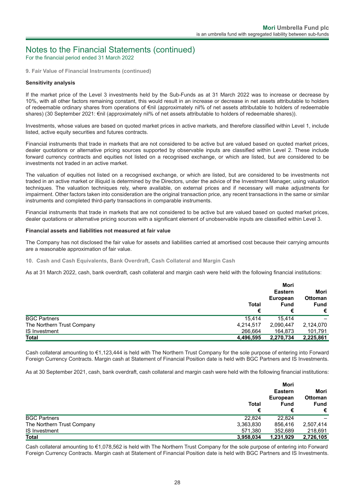For the financial period ended 31 March 2022

**9. Fair Value of Financial Instruments (continued)**

#### **Sensitivity analysis**

If the market price of the Level 3 investments held by the Sub-Funds as at 31 March 2022 was to increase or decrease by 10%, with all other factors remaining constant, this would result in an increase or decrease in net assets attributable to holders of redeemable ordinary shares from operations of €nil (approximately nil% of net assets attributable to holders of redeemable shares) (30 September 2021: €nil (approximately nil% of net assets attributable to holders of redeemable shares)).

Investments, whose values are based on quoted market prices in active markets, and therefore classified within Level 1, include listed, active equity securities and futures contracts.

Financial instruments that trade in markets that are not considered to be active but are valued based on quoted market prices, dealer quotations or alternative pricing sources supported by observable inputs are classified within Level 2. These include forward currency contracts and equities not listed on a recognised exchange, or which are listed, but are considered to be investments not traded in an active market.

The valuation of equities not listed on a recognised exchange, or which are listed, but are considered to be investments not traded in an active market or illiquid is determined by the Directors, under the advice of the Investment Manager, using valuation techniques. The valuation techniques rely, where available, on external prices and if necessary will make adjustments for impairment. Other factors taken into consideration are the original transaction price, any recent transactions in the same or similar instruments and completed third-party transactions in comparable instruments.

Financial instruments that trade in markets that are not considered to be active but are valued based on quoted market prices, dealer quotations or alternative pricing sources with a significant element of unobservable inputs are classified within Level 3.

#### **Financial assets and liabilities not measured at fair value**

The Company has not disclosed the fair value for assets and liabilities carried at amortised cost because their carrying amounts are a reasonable approximation of fair value.

**10. Cash and Cash Equivalents, Bank Overdraft, Cash Collateral and Margin Cash**

As at 31 March 2022, cash, bank overdraft, cash collateral and margin cash were held with the following financial institutions:

|                            | <b>Total</b><br>€ | Mori<br><b>Eastern</b><br><b>European</b><br><b>Fund</b><br>€ | Mori<br><b>Ottoman</b><br><b>Fund</b><br>€ |
|----------------------------|-------------------|---------------------------------------------------------------|--------------------------------------------|
| <b>BGC Partners</b>        | 15.414            | 15.414                                                        |                                            |
| The Northern Trust Company | 4,214,517         | 2,090,447                                                     | 2,124,070                                  |
| <b>IS Investment</b>       | 266.664           | 164.873                                                       | 101,791                                    |
| <b>Total</b>               | 4,496,595         | 2,270,734                                                     | 2,225,861                                  |

Cash collateral amounting to €1,123,444 is held with The Northern Trust Company for the sole purpose of entering into Forward Foreign Currency Contracts. Margin cash at Statement of Financial Position date is held with BGC Partners and IS Investments.

As at 30 September 2021, cash, bank overdraft, cash collateral and margin cash were held with the following financial institutions:

|                            | <b>Total</b><br>€ | Mori<br><b>Eastern</b><br><b>European</b><br><b>Fund</b><br>€ | Mori<br><b>Ottoman</b><br><b>Fund</b><br>€ |
|----------------------------|-------------------|---------------------------------------------------------------|--------------------------------------------|
| <b>BGC Partners</b>        | 22.824            | 22.824                                                        |                                            |
| The Northern Trust Company | 3,363,830         | 856,416                                                       | 2,507,414                                  |
| <b>IS Investment</b>       | 571,380           | 352,689                                                       | 218,691                                    |
| <b>Total</b>               | 3,958,034         | 1,231,929                                                     | 2,726,105                                  |

Cash collateral amounting to €1,078,562 is held with The Northern Trust Company for the sole purpose of entering into Forward Foreign Currency Contracts. Margin cash at Statement of Financial Position date is held with BGC Partners and IS Investments.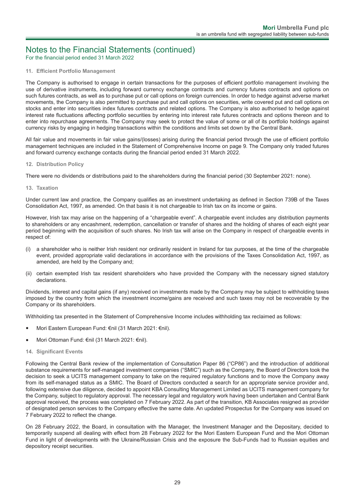For the financial period ended 31 March 2022

#### **11. Efficient Portfolio Management**

The Company is authorised to engage in certain transactions for the purposes of efficient portfolio management involving the use of derivative instruments, including forward currency exchange contracts and currency futures contracts and options on such futures contracts, as well as to purchase put or call options on foreign currencies. In order to hedge against adverse market movements, the Company is also permitted to purchase put and call options on securities, write covered put and call options on stocks and enter into securities index futures contracts and related options. The Company is also authorised to hedge against interest rate fluctuations affecting portfolio securities by entering into interest rate futures contracts and options thereon and to enter into repurchase agreements. The Company may seek to protect the value of some or all of its portfolio holdings against currency risks by engaging in hedging transactions within the conditions and limits set down by the Central Bank.

All fair value and movements in fair value gains/(losses) arising during the financial period through the use of efficient portfolio management techniques are included in the Statement of Comprehensive Income on page 9. The Company only traded futures and forward currency exchange contacts during the financial period ended 31 March 2022.

#### **12. Distribution Policy**

There were no dividends or distributions paid to the shareholders during the financial period (30 September 2021: none).

#### **13. Taxation**

Under current law and practice, the Company qualifies as an investment undertaking as defined in Section 739B of the Taxes Consolidation Act, 1997, as amended. On that basis it is not chargeable to Irish tax on its income or gains.

However, Irish tax may arise on the happening of a "chargeable event". A chargeable event includes any distribution payments to shareholders or any encashment, redemption, cancellation or transfer of shares and the holding of shares of each eight year period beginning with the acquisition of such shares. No Irish tax will arise on the Company in respect of chargeable events in respect of:

- (i) a shareholder who is neither Irish resident nor ordinarily resident in Ireland for tax purposes, at the time of the chargeable event, provided appropriate valid declarations in accordance with the provisions of the Taxes Consolidation Act, 1997, as amended, are held by the Company and;
- (ii) certain exempted Irish tax resident shareholders who have provided the Company with the necessary signed statutory declarations.

Dividends, interest and capital gains (if any) received on investments made by the Company may be subject to withholding taxes imposed by the country from which the investment income/gains are received and such taxes may not be recoverable by the Company or its shareholders.

Withholding tax presented in the Statement of Comprehensive Income includes withholding tax reclaimed as follows:

- Mori Eastern European Fund: €nil (31 March 2021: €nil).
- Mori Ottoman Fund: €nil (31 March 2021: €nil).

#### **14. Significant Events**

Following the Central Bank review of the implementation of Consultation Paper 86 ("CP86") and the introduction of additional substance requirements for self-managed investment companies ("SMIC") such as the Company, the Board of Directors took the decision to seek a UCITS management company to take on the required regulatory functions and to move the Company away from its self-managed status as a SMIC. The Board of Directors conducted a search for an appropriate service provider and, following extensive due diligence, decided to appoint KBA Consulting Management Limited as UCITS management company for the Company, subject to regulatory approval. The necessary legal and regulatory work having been undertaken and Central Bank approval received, the process was completed on 7 February 2022. As part of the transition, KB Associates resigned as provider of designated person services to the Company effective the same date. An updated Prospectus for the Company was issued on 7 February 2022 to reflect the change.

On 28 February 2022, the Board, in consultation with the Manager, the Investment Manager and the Depositary, decided to temporarily suspend all dealing with effect from 28 February 2022 for the Mori Eastern European Fund and the Mori Ottoman Fund in light of developments with the Ukraine/Russian Crisis and the exposure the Sub-Funds had to Russian equities and depository receipt securities.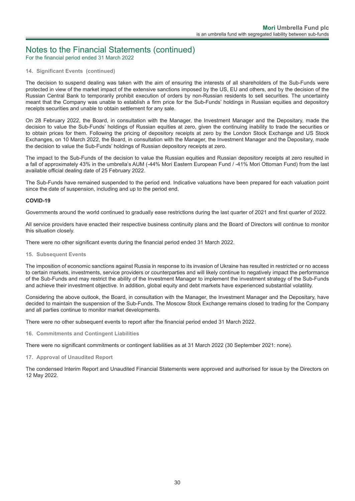For the financial period ended 31 March 2022

#### **14. Significant Events (continued)**

The decision to suspend dealing was taken with the aim of ensuring the interests of all shareholders of the Sub-Funds were protected in view of the market impact of the extensive sanctions imposed by the US, EU and others, and by the decision of the Russian Central Bank to temporarily prohibit execution of orders by non-Russian residents to sell securities. The uncertainty meant that the Company was unable to establish a firm price for the Sub-Funds' holdings in Russian equities and depository receipts securities and unable to obtain settlement for any sale.

On 28 February 2022, the Board, in consultation with the Manager, the Investment Manager and the Depositary, made the decision to value the Sub-Funds' holdings of Russian equities at zero, given the continuing inability to trade the securities or to obtain prices for them. Following the pricing of depository receipts at zero by the London Stock Exchange and US Stock Exchanges, on 10 March 2022, the Board, in consultation with the Manager, the Investment Manager and the Depositary, made the decision to value the Sub-Funds' holdings of Russian depository receipts at zero.

The impact to the Sub-Funds of the decision to value the Russian equities and Russian depository receipts at zero resulted in a fall of approximately 43% in the umbrella's AUM (-44% Mori Eastern European Fund / -41% Mori Ottoman Fund) from the last available official dealing date of 25 February 2022.

The Sub-Funds have remained suspended to the period end. Indicative valuations have been prepared for each valuation point since the date of suspension, including and up to the period end.

#### **COVID-19**

Governments around the world continued to gradually ease restrictions during the last quarter of 2021 and first quarter of 2022.

All service providers have enacted their respective business continuity plans and the Board of Directors will continue to monitor this situation closely.

There were no other significant events during the financial period ended 31 March 2022.

**15. Subsequent Events**

The imposition of economic sanctions against Russia in response to its invasion of Ukraine has resulted in restricted or no access to certain markets, investments, service providers or counterparties and will likely continue to negatively impact the performance of the Sub-Funds and may restrict the ability of the Investment Manager to implement the investment strategy of the Sub-Funds and achieve their investment objective. In addition, global equity and debt markets have experienced substantial volatility.

Considering the above outlook, the Board, in consultation with the Manager, the Investment Manager and the Depositary, have decided to maintain the suspension of the Sub-Funds. The Moscow Stock Exchange remains closed to trading for the Company and all parties continue to monitor market developments.

There were no other subsequent events to report after the financial period ended 31 March 2022.

**16. Commitments and Contingent Liabilities**

There were no significant commitments or contingent liabilities as at 31 March 2022 (30 September 2021: none).

#### **17. Approval of Unaudited Report**

The condensed Interim Report and Unaudited Financial Statements were approved and authorised for issue by the Directors on 12 May 2022.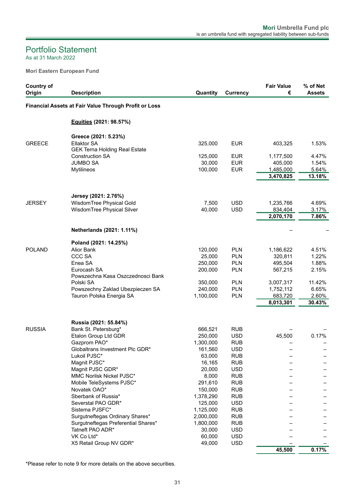### <span id="page-32-0"></span>As at 31 March 2022 Portfolio Statement

**Mori Eastern European Fund**

| <b>Country of</b><br>Origin | <b>Description</b>                                                                | Quantity               | <b>Currency</b>          | <b>Fair Value</b><br>€            | % of Net<br><b>Assets</b> |
|-----------------------------|-----------------------------------------------------------------------------------|------------------------|--------------------------|-----------------------------------|---------------------------|
|                             | Financial Assets at Fair Value Through Profit or Loss                             |                        |                          |                                   |                           |
|                             | Equities (2021: 98.57%)                                                           |                        |                          |                                   |                           |
| <b>GREECE</b>               | Greece (2021: 5.23%)<br><b>Ellaktor SA</b>                                        | 325,000                | <b>EUR</b>               | 403,325                           | 1.53%                     |
|                             | <b>GEK Terna Holding Real Estate</b><br><b>Construction SA</b><br><b>JUMBO SA</b> | 125,000<br>30,000      | <b>EUR</b><br><b>EUR</b> | 1,177,500<br>405,000              | 4.47%<br>1.54%<br>5.64%   |
|                             | Mytilineos                                                                        | 100,000                | <b>EUR</b>               | 1,485,000<br>3,470,825            | 13.18%                    |
|                             | Jersey (2021: 2.76%)                                                              |                        |                          |                                   |                           |
| <b>JERSEY</b>               | WisdomTree Physical Gold<br>WisdomTree Physical Silver                            | 7,500<br>40,000        | <b>USD</b><br><b>USD</b> | 1,235,766<br>834,404<br>2,070,170 | 4.69%<br>3.17%<br>7.86%   |
|                             | Netherlands (2021: 1.11%)                                                         |                        |                          |                                   |                           |
|                             | Poland (2021: 14.25%)                                                             |                        |                          |                                   |                           |
| <b>POLAND</b>               | Alior Bank                                                                        | 120,000                | <b>PLN</b>               | 1,186,622                         | 4.51%                     |
|                             | <b>CCC SA</b>                                                                     | 25,000                 | <b>PLN</b>               | 320,811                           | 1.22%                     |
|                             | Enea SA<br>Eurocash SA<br>Powszechna Kasa Oszczednosci Bank                       | 250,000<br>200,000     | <b>PLN</b><br><b>PLN</b> | 495,504<br>567,215                | 1.88%<br>2.15%            |
|                             | Polski SA                                                                         | 350,000                | <b>PLN</b>               | 3,007,317                         | 11.42%                    |
|                             | Powszechny Zaklad Ubezpieczen SA                                                  | 240,000                | <b>PLN</b>               | 1,752,112                         | 6.65%                     |
|                             | Tauron Polska Energia SA                                                          | 1,100,000              | PLN                      | 683,720                           | 2.60%                     |
|                             |                                                                                   |                        |                          | 8,013,301                         | 30.43%                    |
|                             | Russia (2021: 55.84%)                                                             |                        |                          |                                   |                           |
| <b>RUSSIA</b>               | Bank St. Petersburg*                                                              | 666,521                | <b>RUB</b>               |                                   |                           |
|                             | Etalon Group Ltd GDR<br>Gazprom PAO*                                              | 250,000<br>1,300,000   | <b>USD</b><br><b>RUB</b> | 45,500                            | 0.17%                     |
|                             | Globaltrans Investment Plc GDR*                                                   | 161,560                | <b>USD</b>               |                                   |                           |
|                             | Lukoil PJSC*                                                                      | 63,000                 | <b>RUB</b>               |                                   |                           |
|                             | Magnit PJSC*                                                                      | 16,165                 | <b>RUB</b>               |                                   |                           |
|                             | Magnit PJSC GDR*                                                                  | 20,000                 | <b>USD</b>               |                                   |                           |
|                             | MMC Norilsk Nickel PJSC*                                                          | 8,000                  | <b>RUB</b>               |                                   |                           |
|                             | Mobile TeleSystems PJSC*                                                          | 291,610                | <b>RUB</b>               |                                   |                           |
|                             | Novatek OAO*                                                                      | 150,000                | <b>RUB</b>               |                                   |                           |
|                             | Sberbank of Russia*                                                               | 1,378,290              | <b>RUB</b>               |                                   |                           |
|                             | Severstal PAO GDR*                                                                | 125,000                | <b>USD</b>               |                                   |                           |
|                             | Sistema PJSFC*<br>Surgutneftegas Ordinary Shares*                                 | 1,125,000<br>2,000,000 | <b>RUB</b><br><b>RUB</b> |                                   |                           |
|                             | Surgutneftegas Preferential Shares*                                               | 1,800,000              | <b>RUB</b>               |                                   |                           |
|                             | Tatneft PAO ADR*                                                                  | 30,000                 | <b>USD</b>               |                                   |                           |
|                             | VK Co Ltd*                                                                        | 60,000                 | <b>USD</b>               |                                   |                           |
|                             | X5 Retail Group NV GDR*                                                           | 49,000                 | <b>USD</b>               |                                   |                           |
|                             |                                                                                   |                        |                          | 45,500                            | 0.17%                     |

\*Please refer to note 9 for more details on the above securities.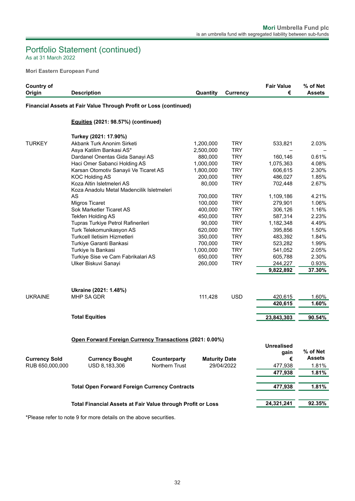### As at 31 March 2022 Portfolio Statement (continued)

**Mori Eastern European Fund**

| <b>Country of</b>    |                                                                   |                       |                      |                 | <b>Fair Value</b> | % of Net      |
|----------------------|-------------------------------------------------------------------|-----------------------|----------------------|-----------------|-------------------|---------------|
| Origin               | <b>Description</b>                                                |                       | Quantity             | <b>Currency</b> | €                 | <b>Assets</b> |
|                      | Financial Assets at Fair Value Through Profit or Loss (continued) |                       |                      |                 |                   |               |
|                      | Equities (2021: 98.57%) (continued)                               |                       |                      |                 |                   |               |
|                      | Turkey (2021: 17.90%)                                             |                       |                      |                 |                   |               |
| <b>TURKEY</b>        | Akbank Turk Anonim Sirketi                                        |                       | 1,200,000            | <b>TRY</b>      | 533,821           | 2.03%         |
|                      | Asya Katilim Bankasi AS*                                          |                       | 2,500,000            | <b>TRY</b>      |                   |               |
|                      | Dardanel Onentas Gida Sanayi AS                                   |                       | 880,000              | <b>TRY</b>      | 160,146           | 0.61%         |
|                      | Haci Omer Sabanci Holding AS                                      |                       | 1,000,000            | <b>TRY</b>      | 1,075,363         | 4.08%         |
|                      | Karsan Otomotiv Sanayii Ve Ticaret AS                             |                       | 1,800,000            | <b>TRY</b>      | 606,615           | 2.30%         |
|                      | <b>KOC Holding AS</b>                                             |                       | 200,000              | <b>TRY</b>      | 486,027           | 1.85%         |
|                      | Koza Altin Isletmeleri AS                                         |                       | 80,000               | <b>TRY</b>      | 702,448           | 2.67%         |
|                      | Koza Anadolu Metal Madencilik Isletmeleri                         |                       |                      |                 |                   |               |
|                      | AS                                                                |                       | 700,000              | <b>TRY</b>      | 1,109,186         | 4.21%         |
|                      | <b>Migros Ticaret</b>                                             | <b>TRY</b><br>100,000 |                      | 279,901         | 1.06%             |               |
|                      | Sok Marketler Ticaret AS                                          |                       | 400,000              | <b>TRY</b>      | 306,126           | 1.16%         |
|                      | Tekfen Holding AS                                                 |                       | 450,000              | <b>TRY</b>      | 587,314           | 2.23%         |
|                      | Tupras Turkiye Petrol Rafinerileri                                |                       | 90,000               | <b>TRY</b>      | 1,182,348         | 4.49%         |
|                      | Turk Telekomunikasyon AS                                          |                       | 620,000              | <b>TRY</b>      | 395,856           | 1.50%         |
|                      | Turkcell Iletisim Hizmetleri                                      |                       | 350,000              | <b>TRY</b>      | 483,392           | 1.84%         |
|                      | Turkiye Garanti Bankasi                                           |                       | 700,000              | <b>TRY</b>      | 523,282           | 1.99%         |
|                      | Turkiye Is Bankasi                                                |                       | 1,000,000            | <b>TRY</b>      | 541,052           | 2.05%         |
|                      | Turkiye Sise ve Cam Fabrikalari AS                                |                       | 650,000              | <b>TRY</b>      | 605,788           | 2.30%         |
|                      | Ulker Biskuvi Sanayi                                              |                       | 260,000              | <b>TRY</b>      | 244,227           | 0.93%         |
|                      |                                                                   |                       |                      |                 | 9,822,892         | 37.30%        |
|                      |                                                                   |                       |                      |                 |                   |               |
|                      | Ukraine (2021: 1.48%)                                             |                       |                      |                 |                   |               |
| <b>UKRAINE</b>       | MHP SA GDR                                                        |                       | 111,428              | <b>USD</b>      | 420,615           | 1.60%         |
|                      |                                                                   |                       |                      |                 | 420,615           | 1.60%         |
|                      | <b>Total Equities</b>                                             |                       |                      |                 | 23,843,303        | 90.54%        |
|                      |                                                                   |                       |                      |                 |                   |               |
|                      | Open Forward Foreign Currency Transactions (2021: 0.00%)          |                       |                      |                 |                   |               |
|                      |                                                                   |                       |                      |                 | <b>Unrealised</b> |               |
|                      |                                                                   |                       |                      |                 | gain              | % of Net      |
| <b>Currency Sold</b> | <b>Currency Bought</b>                                            | Counterparty          | <b>Maturity Date</b> |                 | €                 | <b>Assets</b> |
| RUB 650,000,000      | USD 8,183,306                                                     | <b>Northern Trust</b> |                      | 29/04/2022      | 477,938           | 1.81%         |
|                      |                                                                   |                       |                      |                 |                   | 1.81%         |
|                      |                                                                   |                       |                      |                 | 477,938           |               |
|                      | <b>Total Open Forward Foreign Currency Contracts</b>              |                       |                      |                 | 477,938           | 1.81%         |
|                      |                                                                   |                       |                      |                 |                   |               |
|                      | Total Financial Assets at Fair Value through Profit or Loss       |                       |                      |                 | 24,321,241        | 92.35%        |
|                      |                                                                   |                       |                      |                 |                   |               |

\*Please refer to note 9 for more details on the above securities.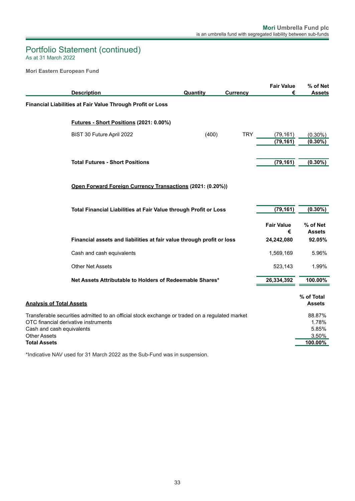### As at 31 March 2022 Portfolio Statement (continued)

**Mori Eastern European Fund**

|                                                  |                                                                                                |          |                 | <b>Fair Value</b>      | % of Net                  |
|--------------------------------------------------|------------------------------------------------------------------------------------------------|----------|-----------------|------------------------|---------------------------|
|                                                  | <b>Description</b>                                                                             | Quantity | <b>Currency</b> | €                      | <b>Assets</b>             |
|                                                  | Financial Liabilities at Fair Value Through Profit or Loss                                     |          |                 |                        |                           |
|                                                  | Futures - Short Positions (2021: 0.00%)                                                        |          |                 |                        |                           |
|                                                  | BIST 30 Future April 2022                                                                      | (400)    | <b>TRY</b>      | (79, 161)              | $(0.30\%)$                |
|                                                  |                                                                                                |          |                 | (79, 161)              | $(0.30\%)$                |
|                                                  |                                                                                                |          |                 |                        |                           |
|                                                  | <b>Total Futures - Short Positions</b>                                                         |          |                 | (79, 161)              | $(0.30\%)$                |
|                                                  |                                                                                                |          |                 |                        |                           |
|                                                  |                                                                                                |          |                 |                        |                           |
|                                                  | Open Forward Foreign Currency Transactions (2021: (0.20%))                                     |          |                 |                        |                           |
|                                                  |                                                                                                |          |                 |                        |                           |
|                                                  | Total Financial Liabilities at Fair Value through Profit or Loss                               |          |                 | (79, 161)              | $(0.30\%)$                |
|                                                  |                                                                                                |          |                 |                        |                           |
|                                                  |                                                                                                |          |                 | <b>Fair Value</b><br>€ | % of Net<br><b>Assets</b> |
|                                                  | Financial assets and liabilities at fair value through profit or loss                          |          |                 | 24,242,080             | 92.05%                    |
|                                                  |                                                                                                |          |                 |                        |                           |
|                                                  | Cash and cash equivalents                                                                      |          |                 | 1,569,169              | 5.96%                     |
|                                                  | <b>Other Net Assets</b>                                                                        |          |                 | 523,143                | 1.99%                     |
|                                                  | Net Assets Attributable to Holders of Redeemable Shares*                                       |          |                 | 26,334,392             | 100.00%                   |
|                                                  |                                                                                                |          |                 |                        |                           |
|                                                  |                                                                                                |          |                 |                        | % of Total                |
| <b>Analysis of Total Assets</b>                  |                                                                                                |          |                 |                        | <b>Assets</b>             |
|                                                  | Transferable securities admitted to an official stock exchange or traded on a regulated market |          |                 |                        | 88.87%                    |
|                                                  | OTC financial derivative instruments                                                           |          |                 |                        | 1.78%                     |
| Cash and cash equivalents<br><b>Other Assets</b> |                                                                                                |          |                 |                        | 5.85%<br>3.50%            |
| <b>Total Assets</b>                              |                                                                                                |          |                 |                        | 100.00%                   |
|                                                  |                                                                                                |          |                 |                        |                           |

\*Indicative NAV used for 31 March 2022 as the Sub-Fund was in suspension.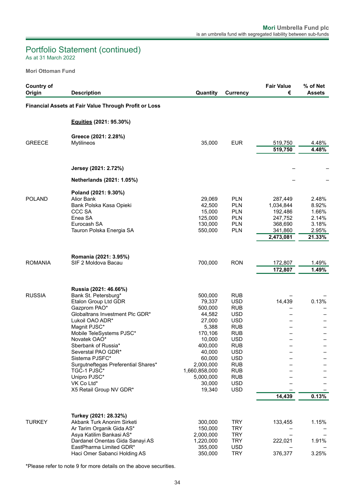## Portfolio Statement (continued)

As at 31 March 2022

**Mori Ottoman Fund**

| <b>Country of</b><br>Origin | <b>Description</b>                                                                                                                                                                                                                                                                                                                                                                    | Quantity                                                                                                                                                                     | <b>Currency</b>                                                                                                                                                                                                              | <b>Fair Value</b><br>€                                                        | % of Net<br><b>Assets</b>                                    |
|-----------------------------|---------------------------------------------------------------------------------------------------------------------------------------------------------------------------------------------------------------------------------------------------------------------------------------------------------------------------------------------------------------------------------------|------------------------------------------------------------------------------------------------------------------------------------------------------------------------------|------------------------------------------------------------------------------------------------------------------------------------------------------------------------------------------------------------------------------|-------------------------------------------------------------------------------|--------------------------------------------------------------|
|                             | Financial Assets at Fair Value Through Profit or Loss                                                                                                                                                                                                                                                                                                                                 |                                                                                                                                                                              |                                                                                                                                                                                                                              |                                                                               |                                                              |
|                             | Equities (2021: 95.30%)                                                                                                                                                                                                                                                                                                                                                               |                                                                                                                                                                              |                                                                                                                                                                                                                              |                                                                               |                                                              |
| <b>GREECE</b>               | Greece (2021: 2.28%)<br><b>Mytilineos</b>                                                                                                                                                                                                                                                                                                                                             | 35,000                                                                                                                                                                       | <b>EUR</b>                                                                                                                                                                                                                   | 519,750<br>519,750                                                            | 4.48%<br>4.48%                                               |
|                             | Jersey (2021: 2.72%)                                                                                                                                                                                                                                                                                                                                                                  |                                                                                                                                                                              |                                                                                                                                                                                                                              |                                                                               |                                                              |
|                             | Netherlands (2021: 1.05%)                                                                                                                                                                                                                                                                                                                                                             |                                                                                                                                                                              |                                                                                                                                                                                                                              |                                                                               |                                                              |
| <b>POLAND</b>               | Poland (2021: 9.30%)<br>Alior Bank<br>Bank Polska Kasa Opieki<br>CCC SA<br>Enea SA<br>Eurocash SA<br>Tauron Polska Energia SA                                                                                                                                                                                                                                                         | 29,069<br>42,500<br>15,000<br>125,000<br>130,000<br>550,000                                                                                                                  | <b>PLN</b><br><b>PLN</b><br><b>PLN</b><br><b>PLN</b><br><b>PLN</b><br><b>PLN</b>                                                                                                                                             | 287,449<br>1,034,844<br>192,486<br>247,752<br>368,690<br>341,860<br>2,473,081 | 2.48%<br>8.92%<br>1.66%<br>2.14%<br>3.18%<br>2.95%<br>21.33% |
| <b>ROMANIA</b>              | Romania (2021: 3.95%)<br>SIF 2 Moldova Bacau                                                                                                                                                                                                                                                                                                                                          | 700,000                                                                                                                                                                      | <b>RON</b>                                                                                                                                                                                                                   | 172,807<br>172,807                                                            | 1.49%<br>1.49%                                               |
| <b>RUSSIA</b>               | Russia (2021: 46.66%)<br>Bank St. Petersburg*<br>Etalon Group Ltd GDR<br>Gazprom PAO*<br>Globaltrans Investment Plc GDR*<br>Lukoil OAO ADR*<br>Magnit PJSC*<br>Mobile TeleSystems PJSC*<br>Novatek OAO*<br>Sberbank of Russia*<br>Severstal PAO GDR*<br>Sistema PJSFC*<br>Surgutneftegas Preferential Shares*<br>TGC-1 PJSC*<br>Unipro PJSC*<br>VK Co Ltd*<br>X5 Retail Group NV GDR* | 500,000<br>79,337<br>500,000<br>44,582<br>27,000<br>5,388<br>170,106<br>10,000<br>400,000<br>40,000<br>60,000<br>2,000,000<br>1,660,858,000<br>5,000,000<br>30,000<br>19,340 | <b>RUB</b><br><b>USD</b><br><b>RUB</b><br><b>USD</b><br><b>USD</b><br><b>RUB</b><br><b>RUB</b><br><b>USD</b><br><b>RUB</b><br><b>USD</b><br><b>USD</b><br><b>RUB</b><br><b>RUB</b><br><b>RUB</b><br><b>USD</b><br><b>USD</b> | 14,439<br>14,439                                                              | 0.13%<br>0.13%                                               |
| <b>TURKEY</b>               | Turkey (2021: 28.32%)<br>Akbank Turk Anonim Sirketi<br>Ar Tarim Organik Gida AS*<br>Asya Katilim Bankasi AS*<br>Dardanel Onentas Gida Sanayi AS<br>EastPharma Limited GDR*<br>Haci Omer Sabanci Holding AS                                                                                                                                                                            | 300,000<br>150,000<br>2,000,000<br>1,220,000<br>355,000<br>350,000                                                                                                           | <b>TRY</b><br><b>TRY</b><br><b>TRY</b><br><b>TRY</b><br><b>USD</b><br><b>TRY</b>                                                                                                                                             | 133,455<br>222,021<br>376,377                                                 | 1.15%<br>1.91%<br>3.25%                                      |

\*Please refer to note 9 for more details on the above securities.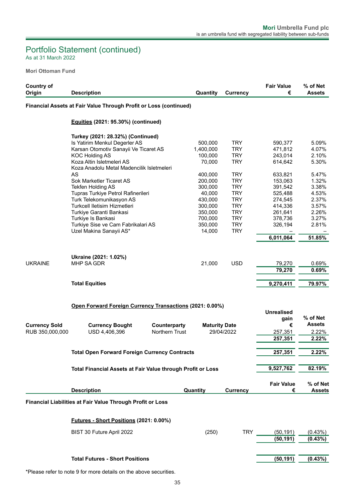# Portfolio Statement (continued)

As at 31 March 2022

**Mori Ottoman Fund**

| <b>Country of</b>    |                                                                    |                |                      |                          | <b>Fair Value</b>      | % of Net                  |
|----------------------|--------------------------------------------------------------------|----------------|----------------------|--------------------------|------------------------|---------------------------|
| Origin               | <b>Description</b>                                                 |                | Quantity             | <b>Currency</b>          | €                      | <b>Assets</b>             |
|                      | Financial Assets at Fair Value Through Profit or Loss (continued)  |                |                      |                          |                        |                           |
|                      | Equities (2021: 95.30%) (continued)                                |                |                      |                          |                        |                           |
|                      |                                                                    |                |                      |                          |                        |                           |
|                      | Turkey (2021: 28.32%) (Continued)                                  |                |                      |                          |                        |                           |
|                      | Is Yatirim Menkul Degerler AS                                      |                | 500,000              | <b>TRY</b>               | 590,377                | 5.09%                     |
|                      | Karsan Otomotiv Sanayii Ve Ticaret AS<br><b>KOC Holding AS</b>     |                | 1,400,000<br>100,000 | <b>TRY</b><br><b>TRY</b> | 471,812<br>243,014     | 4.07%<br>2.10%            |
|                      | Koza Altin Isletmeleri AS                                          |                | 70,000               | <b>TRY</b>               | 614.642                | 5.30%                     |
|                      | Koza Anadolu Metal Madencilik Isletmeleri                          |                |                      |                          |                        |                           |
|                      | AS                                                                 |                | 400,000              | <b>TRY</b>               | 633,821                | 5.47%                     |
|                      | Sok Marketler Ticaret AS                                           |                | 200,000              | <b>TRY</b>               | 153,063                | 1.32%                     |
|                      | Tekfen Holding AS                                                  |                | 300,000              | <b>TRY</b>               | 391,542                | 3.38%                     |
|                      | Tupras Turkiye Petrol Rafinerileri                                 |                | 40,000               | <b>TRY</b>               | 525,488                | 4.53%                     |
|                      | Turk Telekomunikasyon AS                                           |                | 430,000              | <b>TRY</b>               | 274,545                | 2.37%                     |
|                      | Turkcell Iletisim Hizmetleri                                       |                | 300,000              | <b>TRY</b>               | 414,336                | 3.57%                     |
|                      | Turkiye Garanti Bankasi                                            |                | 350,000              | <b>TRY</b>               | 261,641                | 2.26%                     |
|                      | Turkiye Is Bankasi                                                 |                | 700,000              | <b>TRY</b>               | 378,736                | 3.27%                     |
|                      | Turkiye Sise ve Cam Fabrikalari AS                                 |                | 350,000              | <b>TRY</b>               | 326,194                | 2.81%                     |
|                      | Uzel Makina Sanayii AS*                                            |                | 14,000               | <b>TRY</b>               |                        |                           |
|                      |                                                                    |                |                      |                          | 6,011,064              | 51.85%                    |
|                      |                                                                    |                |                      |                          |                        |                           |
|                      |                                                                    |                |                      |                          |                        |                           |
|                      | Ukraine (2021: 1.02%)<br>MHP SA GDR                                |                |                      | <b>USD</b>               |                        |                           |
| <b>UKRAINE</b>       |                                                                    |                | 21,000               |                          | 79,270                 | 0.69%                     |
|                      |                                                                    |                |                      |                          | 79,270                 | 0.69%                     |
|                      | <b>Total Equities</b>                                              |                |                      |                          | 9,270,411              | 79.97%                    |
|                      |                                                                    |                |                      |                          |                        |                           |
|                      |                                                                    |                |                      |                          |                        |                           |
|                      | Open Forward Foreign Currency Transactions (2021: 0.00%)           |                |                      |                          |                        |                           |
|                      |                                                                    |                |                      |                          | <b>Unrealised</b>      |                           |
|                      |                                                                    |                |                      |                          | gain                   | % of Net<br><b>Assets</b> |
| <b>Currency Sold</b> | <b>Currency Bought</b>                                             | Counterparty   | <b>Maturity Date</b> |                          | €                      |                           |
| RUB 350,000,000      | USD 4,406,396                                                      | Northern Trust |                      | 29/04/2022               | 257,351                | 2.22%                     |
|                      |                                                                    |                |                      |                          | 257,351                | 2.22%                     |
|                      |                                                                    |                |                      |                          |                        |                           |
|                      | Total Open Forward Foreign Currency Contracts                      |                |                      |                          | 257,351                | $2.22\%$                  |
|                      |                                                                    |                |                      |                          |                        |                           |
|                      | <b>Total Financial Assets at Fair Value through Profit or Loss</b> |                |                      |                          | 9,527,762              | 82.19%                    |
|                      |                                                                    |                |                      |                          |                        |                           |
|                      | <b>Description</b>                                                 |                | <b>Quantity</b>      | <b>Currency</b>          | <b>Fair Value</b><br>€ | % of Net<br><b>Assets</b> |
|                      |                                                                    |                |                      |                          |                        |                           |
|                      | Financial Liabilities at Fair Value Through Profit or Loss         |                |                      |                          |                        |                           |
|                      | Futures - Short Positions (2021: 0.00%)                            |                |                      |                          |                        |                           |
|                      |                                                                    |                |                      |                          |                        |                           |
|                      | BIST 30 Future April 2022                                          |                | (250)                | TRY                      | (50, 191)              | (0.43%)                   |
|                      |                                                                    |                |                      |                          | (50, 191)              | (0.43%)                   |
|                      |                                                                    |                |                      |                          |                        |                           |
|                      |                                                                    |                |                      |                          |                        |                           |
|                      | <b>Total Futures - Short Positions</b>                             |                |                      |                          | (50, 191)              | (0.43%)                   |

\*Please refer to note 9 for more details on the above securities.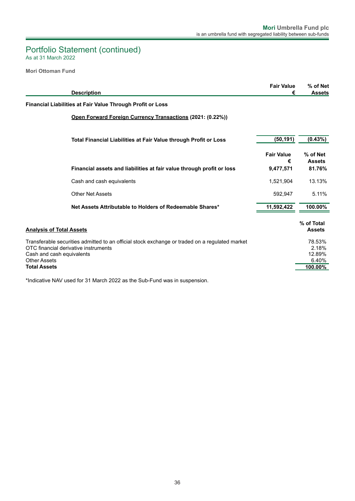### As at 31 March 2022 Portfolio Statement (continued)

**Mori Ottoman Fund**

| <b>Description</b>                                                                                                                                                                                                | <b>Fair Value</b><br>€ | % of Net<br><b>Assets</b>                     |
|-------------------------------------------------------------------------------------------------------------------------------------------------------------------------------------------------------------------|------------------------|-----------------------------------------------|
| Financial Liabilities at Fair Value Through Profit or Loss                                                                                                                                                        |                        |                                               |
| Open Forward Foreign Currency Transactions (2021: (0.22%))                                                                                                                                                        |                        |                                               |
| <b>Total Financial Liabilities at Fair Value through Profit or Loss</b>                                                                                                                                           | (50, 191)              | $(0.43\%)$                                    |
|                                                                                                                                                                                                                   | <b>Fair Value</b><br>€ | % of Net<br><b>Assets</b>                     |
| Financial assets and liabilities at fair value through profit or loss                                                                                                                                             | 9,477,571              | 81.76%                                        |
| Cash and cash equivalents                                                                                                                                                                                         | 1,521,904              | 13.13%                                        |
| <b>Other Net Assets</b>                                                                                                                                                                                           | 592.947                | 5.11%                                         |
| Net Assets Attributable to Holders of Redeemable Shares*                                                                                                                                                          | 11,592,422             | 100.00%                                       |
| <b>Analysis of Total Assets</b>                                                                                                                                                                                   |                        | % of Total<br><b>Assets</b>                   |
| Transferable securities admitted to an official stock exchange or traded on a regulated market<br>OTC financial derivative instruments<br>Cash and cash equivalents<br><b>Other Assets</b><br><b>Total Assets</b> |                        | 78.53%<br>2.18%<br>12.89%<br>6.40%<br>100.00% |

\*Indicative NAV used for 31 March 2022 as the Sub-Fund was in suspension.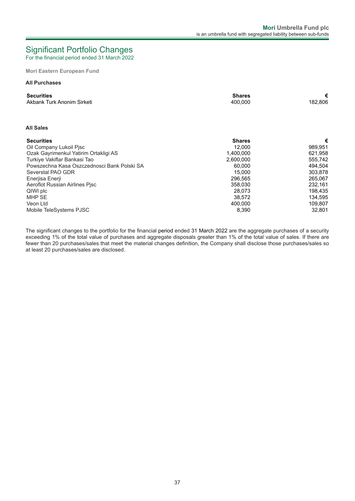# <span id="page-38-0"></span>Significant Portfolio Changes

For the financial period ended 31 March 2022

**Mori Eastern European Fund**

#### **All Purchases**

| <b>Securities</b><br>Akbank Turk Anonim Sirketi | <b>Shares</b><br>400,000 | €<br>182,806 |
|-------------------------------------------------|--------------------------|--------------|
|                                                 |                          |              |
| <b>All Sales</b>                                |                          |              |
| <b>Securities</b>                               | <b>Shares</b>            | €            |
| Oil Company Lukoil Pisc                         | 12,000                   | 989,951      |
| Ozak Gayrimenkul Yatirim Ortakligi AS           | 1,400,000                | 621,958      |
| Turkiye Vakiflar Bankasi Tao                    | 2,600,000                | 555,742      |
| Powszechna Kasa Oszczednosci Bank Polski SA     | 60,000                   | 494,504      |
| Severstal PAO GDR                               | 15,000                   | 303,878      |
| Enerjisa Enerji                                 | 296,565                  | 265,067      |
| Aeroflot Russian Airlines Pisc                  | 358.030                  | 232,161      |
| QIWI plc                                        | 28,073                   | 198,435      |
| <b>MHP SE</b>                                   | 38,572                   | 134,595      |
| Veon Ltd                                        | 400.000                  | 109,807      |
| Mobile TeleSystems PJSC                         | 8,390                    | 32,801       |

The significant changes to the portfolio for the financial period ended 31 March 2022 are the aggregate purchases of a security exceeding 1% of the total value of purchases and aggregate disposals greater than 1% of the total value of sales. If there are fewer than 20 purchases/sales that meet the material changes definition, the Company shall disclose those purchases/sales so at least 20 purchases/sales are disclosed.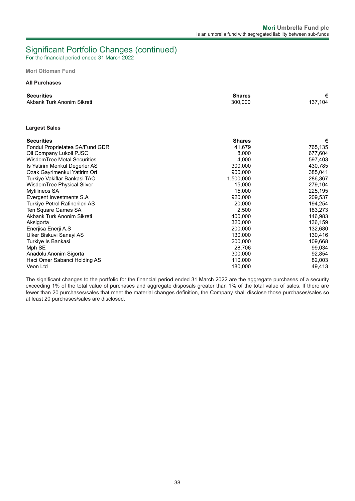## Significant Portfolio Changes (continued)

For the financial period ended 31 March 2022

**Mori Ottoman Fund**

#### **All Purchases**

| <b>Securities</b>                  | <b>Shares</b> | €       |
|------------------------------------|---------------|---------|
| Akbank Turk Anonim Sikreti         | 300,000       | 137,104 |
|                                    |               |         |
| <b>Largest Sales</b>               |               |         |
| <b>Securities</b>                  | <b>Shares</b> | €       |
| Fondul Proprietatea SA/Fund GDR    | 41.679        | 765,135 |
| Oil Company Lukoil PJSC            | 8,000         | 677,604 |
| <b>WisdomTree Metal Securities</b> | 4.000         | 597,403 |
| Is Yatirim Menkul Degerler AS      | 300,000       | 430,785 |
| Ozak Gayrimenkul Yatirim Ort       | 900,000       | 385,041 |
| Turkiye Vakiflar Bankasi TAO       | 1,500,000     | 286,367 |
| WisdomTree Physical Silver         | 15.000        | 279,104 |
| Mytilineos SA                      | 15,000        | 225,195 |
| Evergent Investments S.A           | 920.000       | 209.537 |
| Turkiye Petrol Rafinerileri AS     | 20,000        | 194,254 |
| Ten Square Games SA                | 2.500         | 183,273 |
| Akbank Turk Anonim Sikreti         | 400,000       | 146,983 |
| Aksigorta                          | 320,000       | 136,159 |
| Enerjisa Enerji A.S                | 200,000       | 132,680 |
| Ulker Biskuvi Sanayi AS            | 130,000       | 130,416 |
| Turkiye Is Bankasi                 | 200,000       | 109,668 |
| Mph SE                             | 28.706        | 99,034  |
| Anadolu Anonim Sigorta             | 300,000       | 92,854  |
| Haci Omer Sabanci Holding AS       | 110,000       | 82,003  |
| Veon Ltd                           | 180,000       | 49,413  |

The significant changes to the portfolio for the financial period ended 31 March 2022 are the aggregate purchases of a security exceeding 1% of the total value of purchases and aggregate disposals greater than 1% of the total value of sales. If there are fewer than 20 purchases/sales that meet the material changes definition, the Company shall disclose those purchases/sales so at least 20 purchases/sales are disclosed.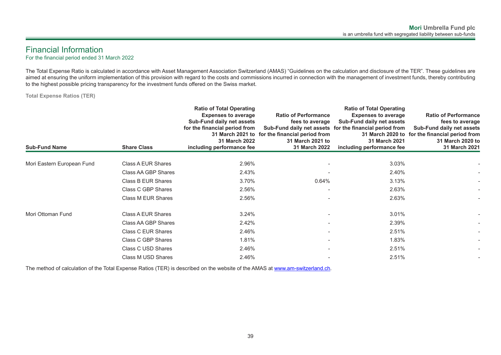## <span id="page-40-0"></span>Financial Information

For the financial period ended 31 March 2022

The Total Expense Ratio is calculated in accordance with Asset Management Association Switzerland (AMAS) "Guidelines on the calculation and disclosure of the TER". These guidelines are aimed at ensuring the uniform implementation of this provision with regard to the costs and commissions incurred in connection with the management of investment funds, thereby contributing to the highest possible pricing transparency for the investment funds offered on the Swiss market.

**Total Expense Ratios (TER)**

| <b>Sub-Fund Name</b>       | <b>Share Class</b>  | <b>Ratio of Total Operating</b><br><b>Expenses to average</b><br>Sub-Fund daily net assets<br>for the financial period from<br><b>31 March 2022</b><br>including performance fee | <b>Ratio of Performance</b><br>fees to average<br>31 March 2021 to for the financial period from<br>31 March 2021 to<br>31 March 2022 | <b>Ratio of Total Operating</b><br><b>Expenses to average</b><br>Sub-Fund daily net assets<br>Sub-Fund daily net assets for the financial period from<br>31 March 2021<br>including performance fee | <b>Ratio of Performance</b><br>fees to average<br><b>Sub-Fund daily net assets</b><br>31 March 2020 to for the financial period from<br>31 March 2020 to<br>31 March 2021 |
|----------------------------|---------------------|----------------------------------------------------------------------------------------------------------------------------------------------------------------------------------|---------------------------------------------------------------------------------------------------------------------------------------|-----------------------------------------------------------------------------------------------------------------------------------------------------------------------------------------------------|---------------------------------------------------------------------------------------------------------------------------------------------------------------------------|
| Mori Eastern European Fund | Class A EUR Shares  | 2.96%                                                                                                                                                                            |                                                                                                                                       | 3.03%                                                                                                                                                                                               |                                                                                                                                                                           |
|                            | Class AA GBP Shares | 2.43%                                                                                                                                                                            |                                                                                                                                       | 2.40%                                                                                                                                                                                               |                                                                                                                                                                           |
|                            | Class B EUR Shares  | 3.70%                                                                                                                                                                            | 0.64%                                                                                                                                 | 3.13%                                                                                                                                                                                               |                                                                                                                                                                           |
|                            | Class C GBP Shares  | 2.56%                                                                                                                                                                            |                                                                                                                                       | 2.63%                                                                                                                                                                                               |                                                                                                                                                                           |
|                            | Class M EUR Shares  | 2.56%                                                                                                                                                                            |                                                                                                                                       | 2.63%                                                                                                                                                                                               |                                                                                                                                                                           |
| Mori Ottoman Fund          | Class A EUR Shares  | 3.24%                                                                                                                                                                            |                                                                                                                                       | 3.01%                                                                                                                                                                                               |                                                                                                                                                                           |
|                            | Class AA GBP Shares | 2.42%                                                                                                                                                                            |                                                                                                                                       | 2.39%                                                                                                                                                                                               |                                                                                                                                                                           |
|                            | Class C EUR Shares  | 2.46%                                                                                                                                                                            |                                                                                                                                       | 2.51%                                                                                                                                                                                               |                                                                                                                                                                           |
|                            | Class C GBP Shares  | 1.81%                                                                                                                                                                            |                                                                                                                                       | 1.83%                                                                                                                                                                                               |                                                                                                                                                                           |
|                            | Class C USD Shares  | 2.46%                                                                                                                                                                            |                                                                                                                                       | 2.51%                                                                                                                                                                                               |                                                                                                                                                                           |
|                            | Class M USD Shares  | 2.46%                                                                                                                                                                            |                                                                                                                                       | 2.51%                                                                                                                                                                                               |                                                                                                                                                                           |
|                            |                     |                                                                                                                                                                                  |                                                                                                                                       |                                                                                                                                                                                                     |                                                                                                                                                                           |

The method of calculation of the Total Expense Ratios (TER) is described on the website of the AMAS at www.am-switzerland.ch.